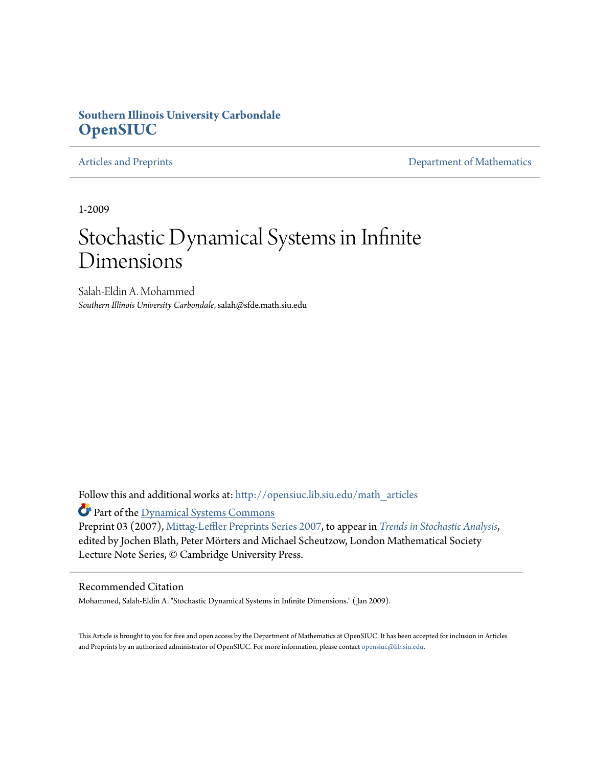### **Southern Illinois University Carbondale [OpenSIUC](http://opensiuc.lib.siu.edu?utm_source=opensiuc.lib.siu.edu%2Fmath_articles%2F62&utm_medium=PDF&utm_campaign=PDFCoverPages)**

[Articles and Preprints](http://opensiuc.lib.siu.edu/math_articles?utm_source=opensiuc.lib.siu.edu%2Fmath_articles%2F62&utm_medium=PDF&utm_campaign=PDFCoverPages) **[Department of Mathematics](http://opensiuc.lib.siu.edu/math?utm_source=opensiuc.lib.siu.edu%2Fmath_articles%2F62&utm_medium=PDF&utm_campaign=PDFCoverPages)** 

1-2009

# Stochastic Dynamical Systems in Infinite Dimensions

Salah-Eldin A. Mohammed *Southern Illinois University Carbondale*, salah@sfde.math.siu.edu

Follow this and additional works at: [http://opensiuc.lib.siu.edu/math\\_articles](http://opensiuc.lib.siu.edu/math_articles?utm_source=opensiuc.lib.siu.edu%2Fmath_articles%2F62&utm_medium=PDF&utm_campaign=PDFCoverPages)

Part of the [Dynamical Systems Commons](http://network.bepress.com/hgg/discipline/179?utm_source=opensiuc.lib.siu.edu%2Fmath_articles%2F62&utm_medium=PDF&utm_campaign=PDFCoverPages)

Preprint 03 (2007), [Mittag-Leffler Preprints Series 2007,](http://www.mittag-leffler.se/preprints/0708f/) to appear in *[Trends in Stochastic Analysis](http://www.cambridge.org/uk/catalogue/catalogue.asp?isbn=9780521718219)*, edited by Jochen Blath, Peter Mörters and Michael Scheutzow, London Mathematical Society Lecture Note Series, © Cambridge University Press.

#### Recommended Citation

Mohammed, Salah-Eldin A. "Stochastic Dynamical Systems in Infinite Dimensions." ( Jan 2009).

This Article is brought to you for free and open access by the Department of Mathematics at OpenSIUC. It has been accepted for inclusion in Articles and Preprints by an authorized administrator of OpenSIUC. For more information, please contact [opensiuc@lib.siu.edu](mailto:opensiuc@lib.siu.edu).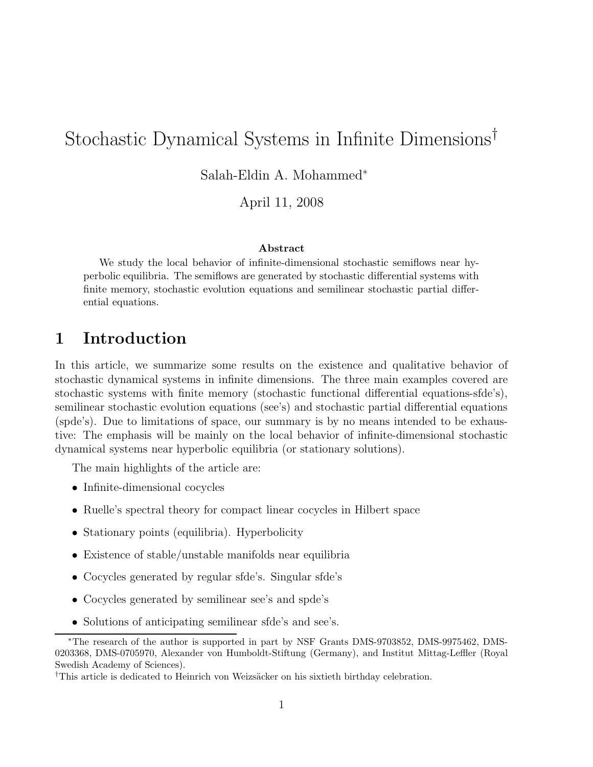## Stochastic Dynamical Systems in Infinite Dimensions†

Salah-Eldin A. Mohammed<sup>∗</sup>

April 11, 2008

#### Abstract

We study the local behavior of infinite-dimensional stochastic semiflows near hyperbolic equilibria. The semiflows are generated by stochastic differential systems with finite memory, stochastic evolution equations and semilinear stochastic partial differential equations.

### 1 Introduction

In this article, we summarize some results on the existence and qualitative behavior of stochastic dynamical systems in infinite dimensions. The three main examples covered are stochastic systems with finite memory (stochastic functional differential equations-sfde's), semilinear stochastic evolution equations (see's) and stochastic partial differential equations (spde's). Due to limitations of space, our summary is by no means intended to be exhaustive: The emphasis will be mainly on the local behavior of infinite-dimensional stochastic dynamical systems near hyperbolic equilibria (or stationary solutions).

The main highlights of the article are:

- Infinite-dimensional cocycles
- Ruelle's spectral theory for compact linear cocycles in Hilbert space
- Stationary points (equilibria). Hyperbolicity
- Existence of stable/unstable manifolds near equilibria
- Cocycles generated by regular sfde's. Singular sfde's
- Cocycles generated by semilinear see's and spde's
- Solutions of anticipating semilinear sfde's and see's.

<sup>∗</sup>The research of the author is supported in part by NSF Grants DMS-9703852, DMS-9975462, DMS-0203368, DMS-0705970, Alexander von Humboldt-Stiftung (Germany), and Institut Mittag-Leffler (Royal Swedish Academy of Sciences).

<sup>&</sup>lt;sup>†</sup>This article is dedicated to Heinrich von Weizsäcker on his sixtieth birthday celebration.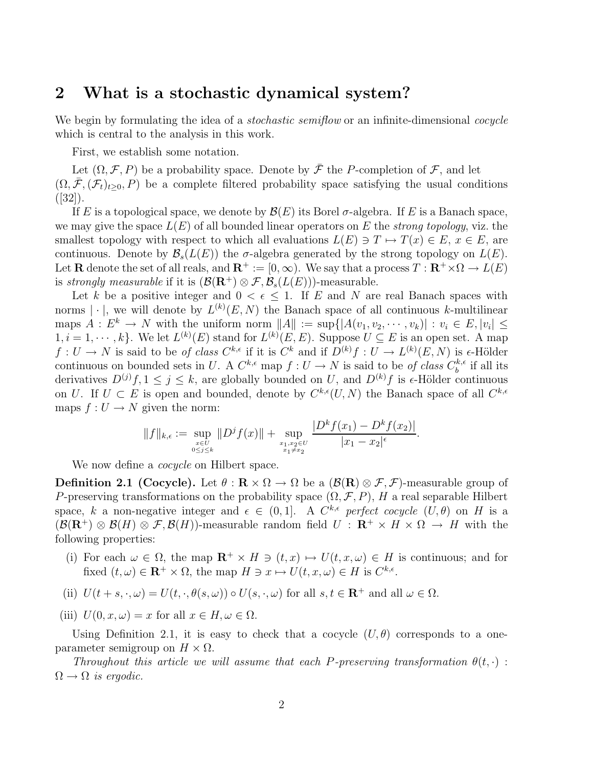### 2 What is a stochastic dynamical system?

We begin by formulating the idea of a *stochastic semiflow* or an infinite-dimensional *cocycle* which is central to the analysis in this work.

First, we establish some notation.

Let  $(\Omega, \mathcal{F}, P)$  be a probability space. Denote by  $\bar{\mathcal{F}}$  the P-completion of  $\mathcal{F}$ , and let  $(\Omega, \bar{\mathcal{F}}, (\mathcal{F}_t)_{t>0}, P)$  be a complete filtered probability space satisfying the usual conditions  $([32])$ .

If E is a topological space, we denote by  $\mathcal{B}(E)$  its Borel  $\sigma$ -algebra. If E is a Banach space, we may give the space  $L(E)$  of all bounded linear operators on E the *strong topology*, viz. the smallest topology with respect to which all evaluations  $L(E) \ni T \mapsto T(x) \in E$ ,  $x \in E$ , are continuous. Denote by  $\mathcal{B}_s(L(E))$  the  $\sigma$ -algebra generated by the strong topology on  $L(E)$ . Let **R** denote the set of all reals, and  $\mathbb{R}^+ := [0, \infty)$ . We say that a process  $T : \mathbb{R}^+ \times \Omega \to L(E)$ is strongly measurable if it is  $(\mathcal{B}(\mathbf{R}^+) \otimes \mathcal{F}, \mathcal{B}_s(L(E)))$ -measurable.

Let k be a positive integer and  $0 < \epsilon < 1$ . If E and N are real Banach spaces with norms  $|\cdot|$ , we will denote by  $L^{(k)}(E, N)$  the Banach space of all continuous k-multilinear maps  $A: E^k \to N$  with the uniform norm  $||A|| := \sup\{|A(v_1, v_2, \dots, v_k)| : v_i \in E, |v_i| \leq$  $1, i = 1, \dots, k$ . We let  $L^{(k)}(E)$  stand for  $L^{(k)}(E, E)$ . Suppose  $U \subseteq E$  is an open set. A map  $f: U \to N$  is said to be of class  $C^{k,\epsilon}$  if it is  $C^k$  and if  $D^{(k)}f: U \to L^{(k)}(E,N)$  is  $\epsilon$ -Hölder continuous on bounded sets in U. A  $C^{k,\epsilon}$  map  $f: U \to N$  is said to be of class  $C_b^{k,\epsilon}$  $\int_{b}^{\kappa,\epsilon}$  if all its derivatives  $D^{(j)}f$ ,  $1 \leq j \leq k$ , are globally bounded on U, and  $D^{(k)}f$  is  $\epsilon$ -Hölder continuous on U. If  $U \subset E$  is open and bounded, denote by  $C^{k,\epsilon}(U, N)$  the Banach space of all  $C^{k,\epsilon}$ maps  $f: U \to N$  given the norm:

$$
||f||_{k,\epsilon} := \sup_{\substack{x \in U \\ 0 \le j \le k}} ||D^j f(x)|| + \sup_{\substack{x_1, x_2 \in U \\ x_1 \ne x_2}} \frac{|D^k f(x_1) - D^k f(x_2)|}{|x_1 - x_2|^{\epsilon}}.
$$

We now define a *cocycle* on Hilbert space.

**Definition 2.1 (Cocycle).** Let  $\theta : \mathbf{R} \times \Omega \to \Omega$  be a  $(\mathcal{B}(\mathbf{R}) \otimes \mathcal{F}, \mathcal{F})$ -measurable group of P-preserving transformations on the probability space  $(\Omega, \mathcal{F}, P)$ , H a real separable Hilbert space, k a non-negative integer and  $\epsilon \in (0,1]$ . A  $C^{k,\epsilon}$  perfect cocycle  $(U,\theta)$  on H is a  $(\mathcal{B}(\mathbf{R}^+) \otimes \mathcal{B}(H) \otimes \mathcal{F}, \mathcal{B}(H))$ -measurable random field  $U : \mathbf{R}^+ \times H \times \Omega \to H$  with the following properties:

- (i) For each  $\omega \in \Omega$ , the map  $\mathbb{R}^+ \times H \ni (t, x) \mapsto U(t, x, \omega) \in H$  is continuous; and for fixed  $(t, \omega) \in \mathbf{R}^+ \times \Omega$ , the map  $H \ni x \mapsto U(t, x, \omega) \in H$  is  $C^{k,\epsilon}$ .
- (ii)  $U(t + s, \cdot, \omega) = U(t, \cdot, \theta(s, \omega)) \circ U(s, \cdot, \omega)$  for all  $s, t \in \mathbb{R}^+$  and all  $\omega \in \Omega$ .
- (iii)  $U(0, x, \omega) = x$  for all  $x \in H, \omega \in \Omega$ .

Using Definition 2.1, it is easy to check that a cocycle  $(U, \theta)$  corresponds to a oneparameter semigroup on  $H \times \Omega$ .

Throughout this article we will assume that each P-preserving transformation  $\theta(t, \cdot)$ :  $\Omega \rightarrow \Omega$  is ergodic.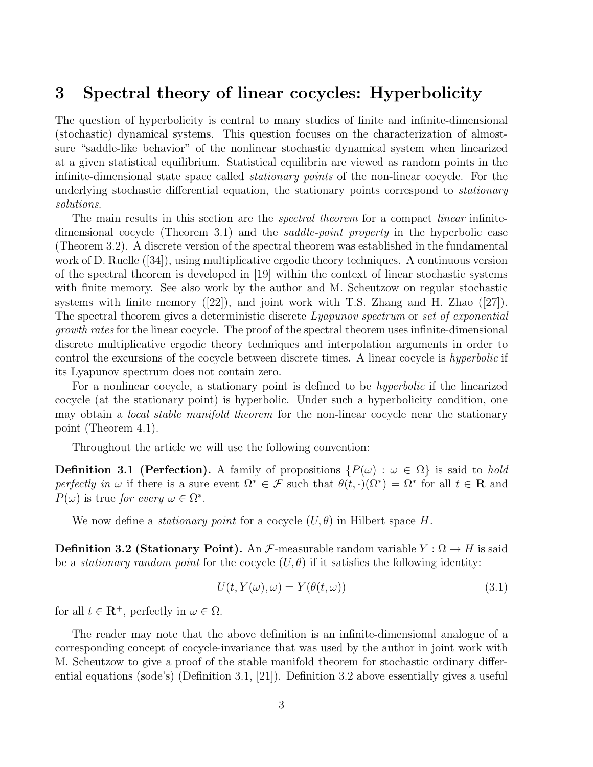### 3 Spectral theory of linear cocycles: Hyperbolicity

The question of hyperbolicity is central to many studies of finite and infinite-dimensional (stochastic) dynamical systems. This question focuses on the characterization of almostsure "saddle-like behavior" of the nonlinear stochastic dynamical system when linearized at a given statistical equilibrium. Statistical equilibria are viewed as random points in the infinite-dimensional state space called *stationary points* of the non-linear cocycle. For the underlying stochastic differential equation, the stationary points correspond to *stationary* solutions.

The main results in this section are the *spectral theorem* for a compact *linear* infinitedimensional cocycle (Theorem 3.1) and the *saddle-point property* in the hyperbolic case (Theorem 3.2). A discrete version of the spectral theorem was established in the fundamental work of D. Ruelle ([34]), using multiplicative ergodic theory techniques. A continuous version of the spectral theorem is developed in [19] within the context of linear stochastic systems with finite memory. See also work by the author and M. Scheutzow on regular stochastic systems with finite memory  $(22)$ , and joint work with T.S. Zhang and H. Zhao  $(27)$ . The spectral theorem gives a deterministic discrete Lyapunov spectrum or set of exponential growth rates for the linear cocycle. The proof of the spectral theorem uses infinite-dimensional discrete multiplicative ergodic theory techniques and interpolation arguments in order to control the excursions of the cocycle between discrete times. A linear cocycle is hyperbolic if its Lyapunov spectrum does not contain zero.

For a nonlinear cocycle, a stationary point is defined to be hyperbolic if the linearized cocycle (at the stationary point) is hyperbolic. Under such a hyperbolicity condition, one may obtain a *local stable manifold theorem* for the non-linear cocycle near the stationary point (Theorem 4.1).

Throughout the article we will use the following convention:

**Definition 3.1 (Perfection).** A family of propositions  $\{P(\omega): \omega \in \Omega\}$  is said to hold perfectly in  $\omega$  if there is a sure event  $\Omega^* \in \mathcal{F}$  such that  $\theta(t, \cdot)(\Omega^*) = \Omega^*$  for all  $t \in \mathbb{R}$  and  $P(\omega)$  is true for every  $\omega \in \Omega^*$ .

We now define a *stationary point* for a cocycle  $(U, \theta)$  in Hilbert space H.

**Definition 3.2 (Stationary Point).** An F-measurable random variable  $Y : \Omega \to H$  is said be a *stationary random point* for the cocycle  $(U, \theta)$  if it satisfies the following identity:

$$
U(t, Y(\omega), \omega) = Y(\theta(t, \omega))
$$
\n(3.1)

for all  $t \in \mathbb{R}^+$ , perfectly in  $\omega \in \Omega$ .

The reader may note that the above definition is an infinite-dimensional analogue of a corresponding concept of cocycle-invariance that was used by the author in joint work with M. Scheutzow to give a proof of the stable manifold theorem for stochastic ordinary differential equations (sode's) (Definition 3.1, [21]). Definition 3.2 above essentially gives a useful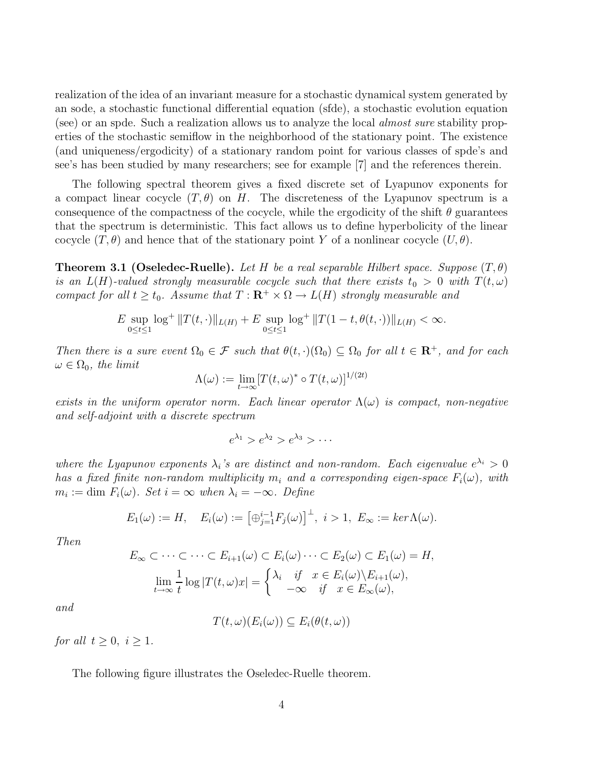realization of the idea of an invariant measure for a stochastic dynamical system generated by an sode, a stochastic functional differential equation (sfde), a stochastic evolution equation (see) or an spde. Such a realization allows us to analyze the local almost sure stability properties of the stochastic semiflow in the neighborhood of the stationary point. The existence (and uniqueness/ergodicity) of a stationary random point for various classes of spde's and see's has been studied by many researchers; see for example [7] and the references therein.

The following spectral theorem gives a fixed discrete set of Lyapunov exponents for a compact linear cocycle  $(T, \theta)$  on H. The discreteness of the Lyapunov spectrum is a consequence of the compactness of the cocycle, while the ergodicity of the shift  $\theta$  guarantees that the spectrum is deterministic. This fact allows us to define hyperbolicity of the linear cocycle  $(T, \theta)$  and hence that of the stationary point Y of a nonlinear cocycle  $(U, \theta)$ .

**Theorem 3.1 (Oseledec-Ruelle).** Let H be a real separable Hilbert space. Suppose  $(T, \theta)$ is an  $L(H)$ -valued strongly measurable cocycle such that there exists  $t_0 > 0$  with  $T(t,\omega)$ compact for all  $t \geq t_0$ . Assume that  $T : \mathbf{R}^+ \times \Omega \to L(H)$  strongly measurable and

$$
E \sup_{0 \le t \le 1} \log^+ \|T(t, \cdot)\|_{L(H)} + E \sup_{0 \le t \le 1} \log^+ \|T(1-t, \theta(t, \cdot))\|_{L(H)} < \infty.
$$

Then there is a sure event  $\Omega_0 \in \mathcal{F}$  such that  $\theta(t, \cdot)(\Omega_0) \subseteq \Omega_0$  for all  $t \in \mathbb{R}^+$ , and for each  $\omega \in \Omega_0$ , the limit

$$
\Lambda(\omega) := \lim_{t \to \infty} [T(t, \omega)^* \circ T(t, \omega)]^{1/(2t)}
$$

exists in the uniform operator norm. Each linear operator  $\Lambda(\omega)$  is compact, non-negative and self-adjoint with a discrete spectrum

$$
e^{\lambda_1} > e^{\lambda_2} > e^{\lambda_3} > \cdots
$$

where the Lyapunov exponents  $\lambda_i$ 's are distinct and non-random. Each eigenvalue  $e^{\lambda_i} > 0$ has a fixed finite non-random multiplicity  $m_i$  and a corresponding eigen-space  $F_i(\omega)$ , with  $m_i := \dim F_i(\omega)$ . Set  $i = \infty$  when  $\lambda_i = -\infty$ . Define

$$
E_1(\omega) := H, \quad E_i(\omega) := \left[\bigoplus_{j=1}^{i-1} F_j(\omega)\right]^{\perp}, \quad i > 1, \quad E_{\infty} := \ker \Lambda(\omega).
$$

Then

$$
E_{\infty} \subset \cdots \subset \cdots \subset E_{i+1}(\omega) \subset E_i(\omega) \cdots \subset E_2(\omega) \subset E_1(\omega) = H,
$$
  

$$
\lim_{t \to \infty} \frac{1}{t} \log |T(t, \omega)x| = \begin{cases} \lambda_i & \text{if } x \in E_i(\omega) \backslash E_{i+1}(\omega), \\ -\infty & \text{if } x \in E_{\infty}(\omega), \end{cases}
$$

and

 $T(t, \omega)(E_i(\omega)) \subseteq E_i(\theta(t, \omega))$ 

for all  $t \geq 0$ ,  $i \geq 1$ .

The following figure illustrates the Oseledec-Ruelle theorem.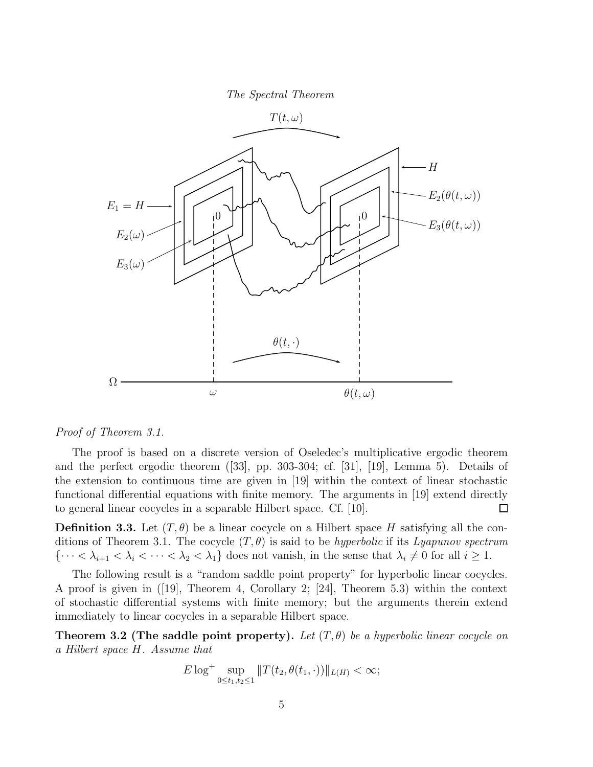The Spectral Theorem



#### Proof of Theorem 3.1.

The proof is based on a discrete version of Oseledec's multiplicative ergodic theorem and the perfect ergodic theorem ([33], pp. 303-304; cf. [31], [19], Lemma 5). Details of the extension to continuous time are given in [19] within the context of linear stochastic functional differential equations with finite memory. The arguments in [19] extend directly to general linear cocycles in a separable Hilbert space. Cf. [10].  $\Box$ 

**Definition 3.3.** Let  $(T, \theta)$  be a linear cocycle on a Hilbert space H satisfying all the conditions of Theorem 3.1. The cocycle  $(T, \theta)$  is said to be *hyperbolic* if its *Lyapunov spectrum*  ${\{\cdots < \lambda_{i+1} < \lambda_i < \cdots < \lambda_2 < \lambda_1\}}$  does not vanish, in the sense that  $\lambda_i \neq 0$  for all  $i \geq 1$ .

The following result is a "random saddle point property" for hyperbolic linear cocycles. A proof is given in ([19], Theorem 4, Corollary 2; [24], Theorem 5.3) within the context of stochastic differential systems with finite memory; but the arguments therein extend immediately to linear cocycles in a separable Hilbert space.

**Theorem 3.2 (The saddle point property).** Let  $(T, \theta)$  be a hyperbolic linear cocycle on a Hilbert space H. Assume that

$$
E \log^+ \sup_{0 \le t_1, t_2 \le 1} ||T(t_2, \theta(t_1, \cdot))||_{L(H)} < \infty;
$$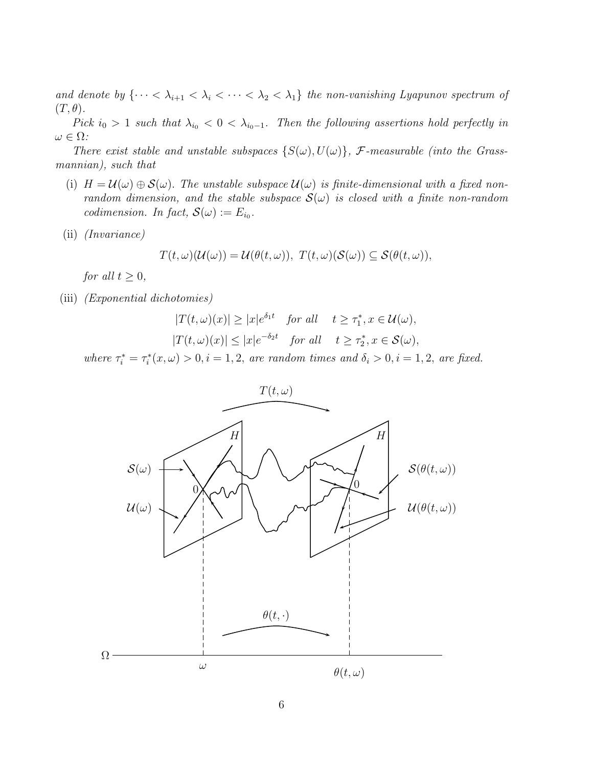and denote by  $\{\cdots < \lambda_{i+1} < \lambda_i < \cdots < \lambda_2 < \lambda_1\}$  the non-vanishing Lyapunov spectrum of  $(T, \theta).$ 

Pick  $i_0 > 1$  such that  $\lambda_{i_0} < 0 < \lambda_{i_0-1}$ . Then the following assertions hold perfectly in  $\omega \in \Omega$ :

There exist stable and unstable subspaces  $\{S(\omega), U(\omega)\}\$ ,  $\mathcal{F}\text{-}measurable$  (into the Grassmannian), such that

- (i)  $H = U(\omega) \oplus S(\omega)$ . The unstable subspace  $U(\omega)$  is finite-dimensional with a fixed nonrandom dimension, and the stable subspace  $\mathcal{S}(\omega)$  is closed with a finite non-random codimension. In fact,  $\mathcal{S}(\omega) := E_{i_0}$ .
- (ii) (Invariance)

$$
T(t,\omega)(\mathcal{U}(\omega))=\mathcal{U}(\theta(t,\omega)),\ T(t,\omega)(\mathcal{S}(\omega))\subseteq \mathcal{S}(\theta(t,\omega)),
$$

for all  $t > 0$ ,

(iii) (Exponential dichotomies)

$$
|T(t,\omega)(x)| \ge |x|e^{\delta_1 t} \quad \text{for all} \quad t \ge \tau_1^*, x \in \mathcal{U}(\omega),
$$
  

$$
|T(t,\omega)(x)| \le |x|e^{-\delta_2 t} \quad \text{for all} \quad t \ge \tau_2^*, x \in \mathcal{S}(\omega),
$$

where  $\tau_i^* = \tau_i^*(x, \omega) > 0, i = 1, 2$ , are random times and  $\delta_i > 0, i = 1, 2$ , are fixed.

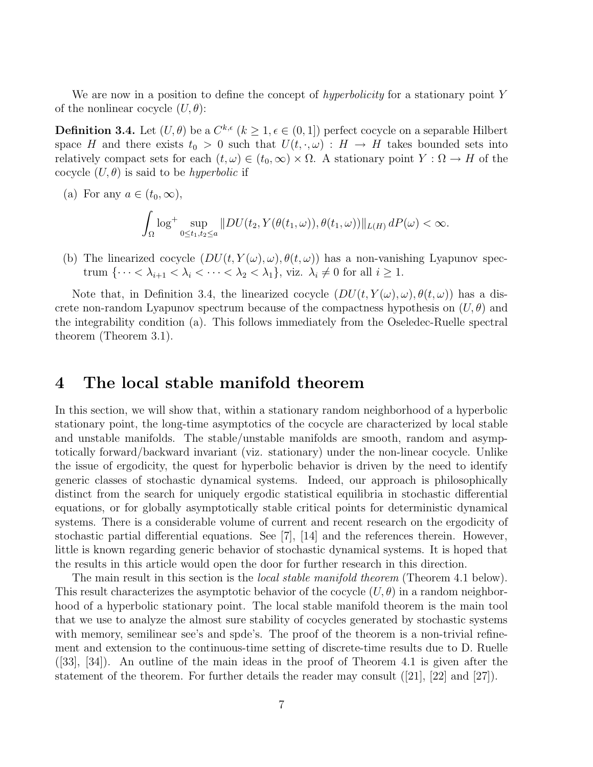We are now in a position to define the concept of *hyperbolicity* for a stationary point Y of the nonlinear cocycle  $(U, \theta)$ :

**Definition 3.4.** Let  $(U, \theta)$  be a  $C^{k,\epsilon}$   $(k \geq 1, \epsilon \in (0,1])$  perfect cocycle on a separable Hilbert space H and there exists  $t_0 > 0$  such that  $U(t, \cdot, \omega) : H \to H$  takes bounded sets into relatively compact sets for each  $(t, \omega) \in (t_0, \infty) \times \Omega$ . A stationary point  $Y : \Omega \to H$  of the cocycle  $(U, \theta)$  is said to be *hyperbolic* if

(a) For any  $a \in (t_0, \infty)$ ,

$$
\int_{\Omega} \log^{+} \sup_{0 \leq t_1, t_2 \leq a} \|DU(t_2, Y(\theta(t_1, \omega)), \theta(t_1, \omega))\|_{L(H)} dP(\omega) < \infty.
$$

(b) The linearized cocycle  $(DU(t, Y(\omega), \omega), \theta(t, \omega))$  has a non-vanishing Lyapunov spectrum  $\{\cdots < \lambda_{i+1} < \lambda_i < \cdots < \lambda_2 < \lambda_1\}$ , viz.  $\lambda_i \neq 0$  for all  $i \geq 1$ .

Note that, in Definition 3.4, the linearized cocycle  $(DU(t, Y(\omega), \omega), \theta(t, \omega))$  has a discrete non-random Lyapunov spectrum because of the compactness hypothesis on  $(U, \theta)$  and the integrability condition (a). This follows immediately from the Oseledec-Ruelle spectral theorem (Theorem 3.1).

### 4 The local stable manifold theorem

In this section, we will show that, within a stationary random neighborhood of a hyperbolic stationary point, the long-time asymptotics of the cocycle are characterized by local stable and unstable manifolds. The stable/unstable manifolds are smooth, random and asymptotically forward/backward invariant (viz. stationary) under the non-linear cocycle. Unlike the issue of ergodicity, the quest for hyperbolic behavior is driven by the need to identify generic classes of stochastic dynamical systems. Indeed, our approach is philosophically distinct from the search for uniquely ergodic statistical equilibria in stochastic differential equations, or for globally asymptotically stable critical points for deterministic dynamical systems. There is a considerable volume of current and recent research on the ergodicity of stochastic partial differential equations. See [7], [14] and the references therein. However, little is known regarding generic behavior of stochastic dynamical systems. It is hoped that the results in this article would open the door for further research in this direction.

The main result in this section is the *local stable manifold theorem* (Theorem 4.1 below). This result characterizes the asymptotic behavior of the cocycle  $(U, \theta)$  in a random neighborhood of a hyperbolic stationary point. The local stable manifold theorem is the main tool that we use to analyze the almost sure stability of cocycles generated by stochastic systems with memory, semilinear see's and spde's. The proof of the theorem is a non-trivial refinement and extension to the continuous-time setting of discrete-time results due to D. Ruelle ([33], [34]). An outline of the main ideas in the proof of Theorem 4.1 is given after the statement of the theorem. For further details the reader may consult  $([21], [22]$  and  $[27]$ .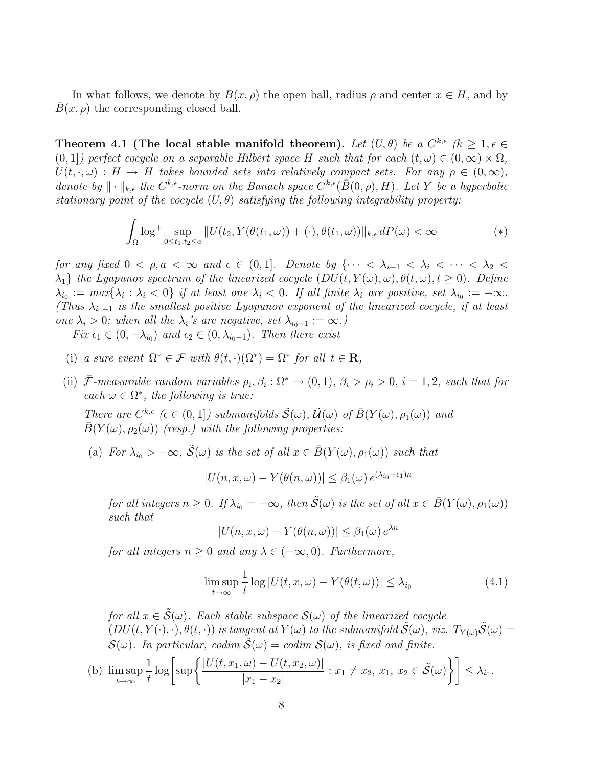In what follows, we denote by  $B(x, \rho)$  the open ball, radius  $\rho$  and center  $x \in H$ , and by  $B(x, \rho)$  the corresponding closed ball.

Theorem 4.1 (The local stable manifold theorem). Let  $(U, \theta)$  be a  $C^{k,\epsilon}$   $(k \geq 1, \epsilon \in$  $(0, 1)$  perfect cocycle on a separable Hilbert space H such that for each  $(t, \omega) \in (0, \infty) \times \Omega$ ,  $U(t, \cdot, \omega) : H \to H$  takes bounded sets into relatively compact sets. For any  $\rho \in (0, \infty)$ , denote by  $\|\cdot\|_{k,\epsilon}$  the  $C^{k,\epsilon}$ -norm on the Banach space  $C^{k,\epsilon}(\overline{B}(0,\rho),H)$ . Let Y be a hyperbolic stationary point of the cocycle  $(U, \theta)$  satisfying the following integrability property:

$$
\int_{\Omega} \log^{+} \sup_{0 \le t_1, t_2 \le a} ||U(t_2, Y(\theta(t_1, \omega)) + (\cdot), \theta(t_1, \omega))||_{k,\epsilon} dP(\omega) < \infty
$$
\n<sup>(\*)</sup>

for any fixed  $0 < \rho, a < \infty$  and  $\epsilon \in (0, 1]$ . Denote by  $\{\cdots < \lambda_{i+1} < \lambda_i < \cdots < \lambda_2$  $\lambda_1$ } the Lyapunov spectrum of the linearized cocycle  $(DU(t, Y(\omega), \omega), \theta(t, \omega), t \geq 0)$ . Define  $\lambda_{i_0} := \max\{\lambda_i : \lambda_i < 0\}$  if at least one  $\lambda_i < 0$ . If all finite  $\lambda_i$  are positive, set  $\lambda_{i_0} := -\infty$ . (Thus  $\lambda_{i_0-1}$  is the smallest positive Lyapunov exponent of the linearized cocycle, if at least one  $\lambda_i > 0$ ; when all the  $\lambda_i$ 's are negative, set  $\lambda_{i_0-1} := \infty$ .) *Fix*  $\epsilon_1 \in (0, -\lambda_{i_0})$  and  $\epsilon_2 \in (0, \lambda_{i_0-1})$ . Then there exist

- (i) a sure event  $\Omega^* \in \mathcal{F}$  with  $\theta(t, \cdot)(\Omega^*) = \Omega^*$  for all  $t \in \mathbb{R}$ ,
- (ii)  $\bar{\mathcal{F}}$ -measurable random variables  $\rho_i, \beta_i : \Omega^* \to (0,1), \beta_i > \rho_i > 0, i = 1,2$ , such that for each  $\omega \in \Omega^*$ , the following is true:

There are  $C^{k,\epsilon}$  ( $\epsilon \in (0,1]$ ) submanifolds  $\tilde{S}(\omega)$ ,  $\tilde{\mathcal{U}}(\omega)$  of  $\bar{B}(Y(\omega), \rho_1(\omega))$  and  $\overline{B}(Y(\omega), \rho_2(\omega))$  (resp.) with the following properties:

(a) For  $\lambda_{i_0} > -\infty$ ,  $\mathcal{S}(\omega)$  is the set of all  $x \in \overline{B}(Y(\omega), \rho_1(\omega))$  such that

$$
|U(n, x, \omega) - Y(\theta(n, \omega))| \leq \beta_1(\omega) e^{(\lambda_{i_0} + \epsilon_1)n}
$$

for all integers  $n \geq 0$ . If  $\lambda_{i_0} = -\infty$ , then  $\tilde{S}(\omega)$  is the set of all  $x \in \bar{B}(Y(\omega), \rho_1(\omega))$ such that

$$
|U(n, x, \omega) - Y(\theta(n, \omega))| \le \beta_1(\omega) e^{\lambda n}
$$

for all integers  $n > 0$  and any  $\lambda \in (-\infty, 0)$ . Furthermore,

$$
\limsup_{t \to \infty} \frac{1}{t} \log |U(t, x, \omega) - Y(\theta(t, \omega))| \le \lambda_{i_0}
$$
\n(4.1)

for all  $x \in \mathcal{S}(\omega)$ . Each stable subspace  $\mathcal{S}(\omega)$  of the linearized cocycle  $(DU(t, Y(\cdot), \cdot), \theta(t, \cdot))$  is tangent at  $Y(\omega)$  to the submanifold  $\tilde{S}(\omega)$ , viz.  $T_{Y(\omega)}\tilde{S}(\omega)$  =  $S(\omega)$ . In particular, codim  $\tilde{S}(\omega) = \text{codim } S(\omega)$ , is fixed and finite.

(b) 
$$
\limsup_{t \to \infty} \frac{1}{t} \log \left[ \sup \left\{ \frac{|U(t, x_1, \omega) - U(t, x_2, \omega)|}{|x_1 - x_2|} : x_1 \neq x_2, x_1, x_2 \in \tilde{\mathcal{S}}(\omega) \right\} \right] \leq \lambda_{i_0}.
$$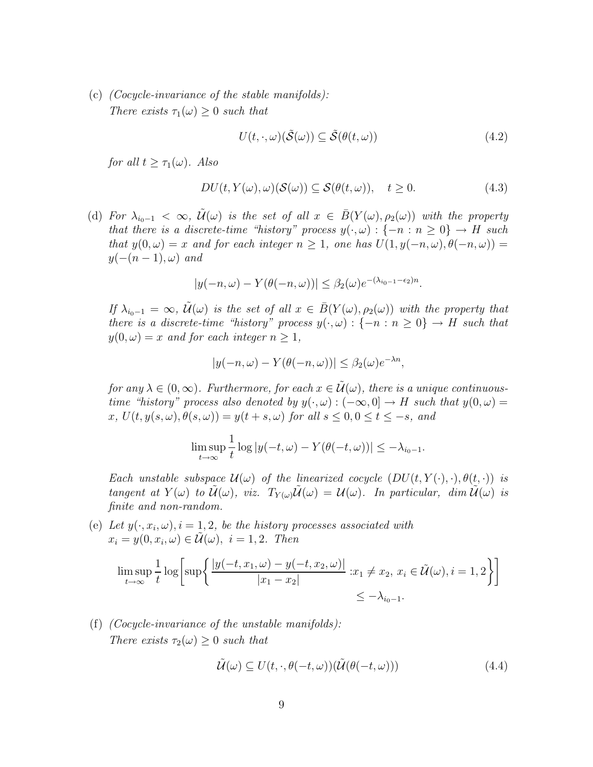(c) (Cocycle-invariance of the stable manifolds): There exists  $\tau_1(\omega) \geq 0$  such that

$$
U(t, \cdot, \omega)(\tilde{\mathcal{S}}(\omega)) \subseteq \tilde{\mathcal{S}}(\theta(t, \omega))
$$
\n(4.2)

for all  $t \geq \tau_1(\omega)$ . Also

$$
DU(t, Y(\omega), \omega)(\mathcal{S}(\omega)) \subseteq \mathcal{S}(\theta(t, \omega)), \quad t \ge 0.
$$
 (4.3)

(d) For  $\lambda_{i_0-1} < \infty$ ,  $\tilde{\mathcal{U}}(\omega)$  is the set of all  $x \in \overline{B}(Y(\omega), \rho_2(\omega))$  with the property that there is a discrete-time "history" process  $y(\cdot,\omega): \{-n : n \geq 0\} \to H$  such that  $y(0, \omega) = x$  and for each integer  $n \ge 1$ , one has  $U(1, y(-n, \omega), \theta(-n, \omega)) =$  $y(-(n-1), \omega)$  and

$$
|y(-n,\omega)-Y(\theta(-n,\omega))| \leq \beta_2(\omega)e^{-(\lambda_{i_0-1}-\epsilon_2)n}.
$$

If  $\lambda_{i_0-1} = \infty$ ,  $\tilde{\mathcal{U}}(\omega)$  is the set of all  $x \in \overline{B}(Y(\omega), \rho_2(\omega))$  with the property that there is a discrete-time "history" process  $y(\cdot, \omega) : \{-n : n \geq 0\} \to H$  such that  $y(0, \omega) = x$  and for each integer  $n \geq 1$ ,

$$
|y(-n,\omega) - Y(\theta(-n,\omega))| \le \beta_2(\omega)e^{-\lambda n},
$$

for any  $\lambda \in (0,\infty)$ . Furthermore, for each  $x \in \mathcal{U}(\omega)$ , there is a unique continuoustime "history" process also denoted by  $y(\cdot,\omega): (-\infty,0] \to H$  such that  $y(0,\omega) =$  $x, U(t, y(s, \omega), \theta(s, \omega)) = y(t + s, \omega)$  for all  $s \leq 0, 0 \leq t \leq -s$ , and

$$
\limsup_{t \to \infty} \frac{1}{t} \log |y(-t,\omega) - Y(\theta(-t,\omega))| \leq -\lambda_{i_0-1}.
$$

Each unstable subspace  $\mathcal{U}(\omega)$  of the linearized cocycle  $(DU(t, Y(\cdot), \cdot), \theta(t, \cdot))$  is tangent at  $Y(\omega)$  to  $\tilde{\mathcal{U}}(\omega)$ , viz.  $T_{Y(\omega)}\tilde{\mathcal{U}}(\omega) = \mathcal{U}(\omega)$ . In particular, dim  $\tilde{\mathcal{U}}(\omega)$  is finite and non-random.

(e) Let  $y(\cdot, x_i, \omega), i = 1, 2$ , be the history processes associated with  $x_i = y(0, x_i, \omega) \in \tilde{\mathcal{U}}(\omega), i = 1, 2$ . Then

$$
\limsup_{t \to \infty} \frac{1}{t} \log \left[ \sup \left\{ \frac{|y(-t, x_1, \omega) - y(-t, x_2, \omega)|}{|x_1 - x_2|} : x_1 \neq x_2, x_i \in \tilde{\mathcal{U}}(\omega), i = 1, 2 \right\} \right]
$$
  

$$
\leq -\lambda_{i_0 - 1}.
$$

(f)  $(Cocycle-invariance of the unstable manifolds)$ : There exists  $\tau_2(\omega) \geq 0$  such that

$$
\tilde{\mathcal{U}}(\omega) \subseteq U(t, \cdot, \theta(-t, \omega))(\tilde{\mathcal{U}}(\theta(-t, \omega)))\tag{4.4}
$$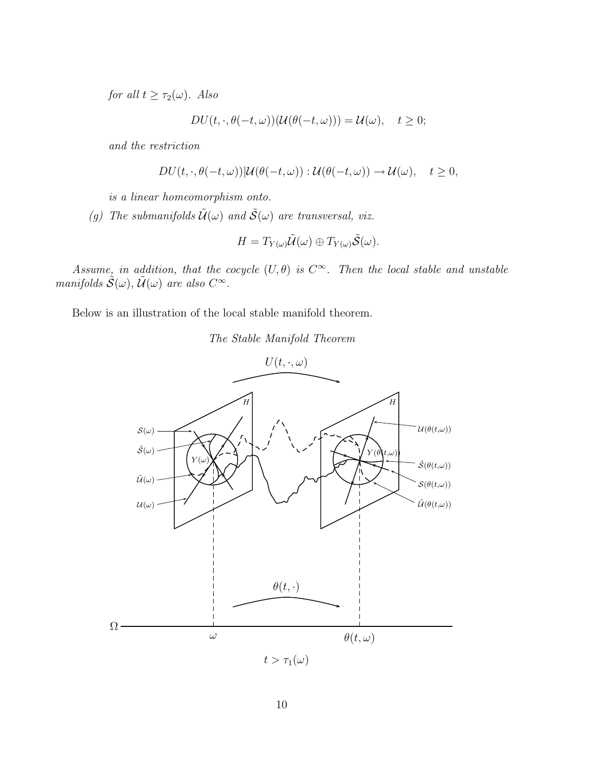for all  $t \geq \tau_2(\omega)$ . Also

$$
DU(t,\cdot,\theta(-t,\omega))(\mathcal{U}(\theta(-t,\omega)))=\mathcal{U}(\omega),\quad t\geq 0;
$$

and the restriction

$$
DU(t,\cdot,\theta(-t,\omega))|\mathcal{U}(\theta(-t,\omega)):\mathcal{U}(\theta(-t,\omega))\to\mathcal{U}(\omega),\quad t\geq 0,
$$

is a linear homeomorphism onto.

(g) The submanifolds  $\tilde{\mathcal{U}}(\omega)$  and  $\tilde{\mathcal{S}}(\omega)$  are transversal, viz.

$$
H = T_{Y(\omega)}\tilde{\mathcal{U}}(\omega) \oplus T_{Y(\omega)}\tilde{\mathcal{S}}(\omega).
$$

Assume, in addition, that the cocycle  $(U, \theta)$  is  $C^{\infty}$ . Then the local stable and unstable manifolds  $\tilde{S}(\omega)$ ,  $\tilde{\mathcal{U}}(\omega)$  are also  $C^{\infty}$ .

Below is an illustration of the local stable manifold theorem.

The Stable Manifold Theorem



 $t > \tau_1(\omega)$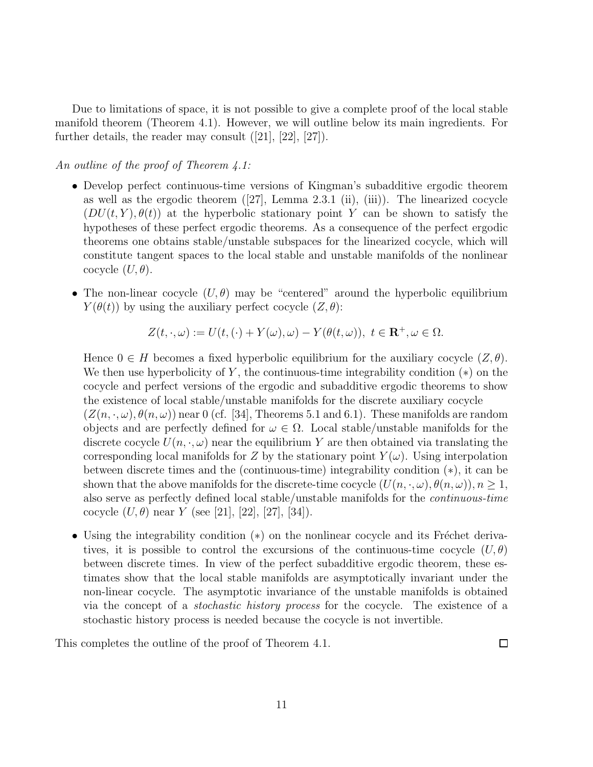Due to limitations of space, it is not possible to give a complete proof of the local stable manifold theorem (Theorem 4.1). However, we will outline below its main ingredients. For further details, the reader may consult  $([21], [22], [27])$ .

An outline of the proof of Theorem 4.1:

- Develop perfect continuous-time versions of Kingman's subadditive ergodic theorem as well as the ergodic theorem  $(27)$ , Lemma 2.3.1 (ii), (iii)). The linearized cocycle  $(DU(t, Y), \theta(t))$  at the hyperbolic stationary point Y can be shown to satisfy the hypotheses of these perfect ergodic theorems. As a consequence of the perfect ergodic theorems one obtains stable/unstable subspaces for the linearized cocycle, which will constitute tangent spaces to the local stable and unstable manifolds of the nonlinear cocycle  $(U, \theta)$ .
- The non-linear cocycle  $(U, \theta)$  may be "centered" around the hyperbolic equilibrium  $Y(\theta(t))$  by using the auxiliary perfect cocycle  $(Z, \theta)$ :

$$
Z(t, \cdot, \omega) := U(t, (\cdot) + Y(\omega), \omega) - Y(\theta(t, \omega)), \ t \in \mathbb{R}^+, \omega \in \Omega.
$$

Hence  $0 \in H$  becomes a fixed hyperbolic equilibrium for the auxiliary cocycle  $(Z, \theta)$ . We then use hyperbolicity of Y, the continuous-time integrability condition  $(*)$  on the cocycle and perfect versions of the ergodic and subadditive ergodic theorems to show the existence of local stable/unstable manifolds for the discrete auxiliary cocycle  $(Z(n, \cdot, \omega), \theta(n, \omega))$  near 0 (cf. [34], Theorems 5.1 and 6.1). These manifolds are random objects and are perfectly defined for  $\omega \in \Omega$ . Local stable/unstable manifolds for the discrete cocycle  $U(n, \cdot, \omega)$  near the equilibrium Y are then obtained via translating the corresponding local manifolds for Z by the stationary point  $Y(\omega)$ . Using interpolation between discrete times and the (continuous-time) integrability condition (∗), it can be shown that the above manifolds for the discrete-time cocycle  $(U(n, \cdot, \omega), \theta(n, \omega))$ ,  $n \geq 1$ , also serve as perfectly defined local stable/unstable manifolds for the continuous-time cocycle  $(U, \theta)$  near Y (see [21], [22], [27], [34]).

• Using the integrability condition  $(*)$  on the nonlinear cocycle and its Fréchet derivatives, it is possible to control the excursions of the continuous-time cocycle  $(U, \theta)$ between discrete times. In view of the perfect subadditive ergodic theorem, these estimates show that the local stable manifolds are asymptotically invariant under the non-linear cocycle. The asymptotic invariance of the unstable manifolds is obtained via the concept of a stochastic history process for the cocycle. The existence of a stochastic history process is needed because the cocycle is not invertible.

This completes the outline of the proof of Theorem 4.1.

 $\Box$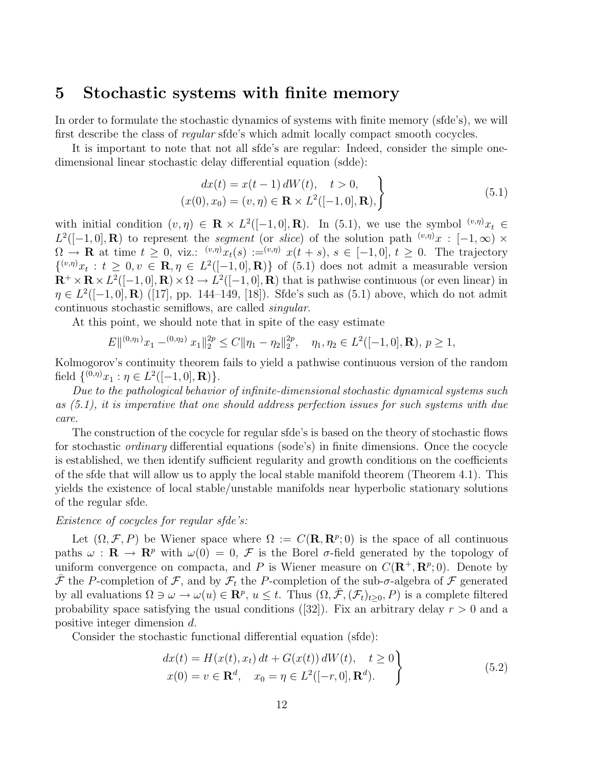### 5 Stochastic systems with finite memory

In order to formulate the stochastic dynamics of systems with finite memory (sfde's), we will first describe the class of *regular* sfde's which admit locally compact smooth cocycles.

It is important to note that not all sfde's are regular: Indeed, consider the simple onedimensional linear stochastic delay differential equation (sdde):

$$
dx(t) = x(t-1) dW(t), \quad t > 0,(x(0), x_0) = (v, \eta) \in \mathbf{R} \times L^2([-1, 0], \mathbf{R}),
$$
\n(5.1)

with initial condition  $(v, \eta) \in \mathbf{R} \times L^2([-1, 0], \mathbf{R})$ . In (5.1), we use the symbol  $(v, \eta)_{x_t} \in$  $L^2([-1,0],\mathbf{R})$  to represent the *segment* (or *slice*) of the solution path  $(0,\eta)x : [-1,\infty) \times$  $\Omega \to \mathbf{R}$  at time  $t > 0$ , viz.:  $(v,\eta)_{x_t(s)} := (v,\eta)_{x_t(t+s)}$ ,  $s \in [-1,0], t > 0$ . The trajectory  $\{({}^{(v,\eta)}x_t : t \geq 0, v \in \mathbf{R}, \eta \in L^2([-1,0],\mathbf{R})\}$  of  $(5.1)$  does not admit a measurable version  $\mathbb{R}^+ \times \mathbb{R} \times L^2([-1,0],\mathbb{R}) \times \Omega \to L^2([-1,0],\mathbb{R})$  that is pathwise continuous (or even linear) in  $\eta \in L^2([-1,0], \mathbf{R})$  ([17], pp. 144–149, [18]). Sfde's such as (5.1) above, which do not admit continuous stochastic semiflows, are called singular.

At this point, we should note that in spite of the easy estimate

$$
E\|^{(0,\eta_1)}x_1 - ^{(0,\eta_2)}x_1\|_2^{2p} \le C\|\eta_1 - \eta_2\|_2^{2p}, \quad \eta_1, \eta_2 \in L^2([-1,0], \mathbf{R}), \ p \ge 1,
$$

Kolmogorov's continuity theorem fails to yield a pathwise continuous version of the random field  $\{^{(0,\eta)}x_1 : \eta \in L^2([-1,0],\mathbf{R})\}.$ 

Due to the pathological behavior of infinite-dimensional stochastic dynamical systems such as (5.1), it is imperative that one should address perfection issues for such systems with due care.

The construction of the cocycle for regular sfde's is based on the theory of stochastic flows for stochastic *ordinary* differential equations (sode's) in finite dimensions. Once the cocycle is established, we then identify sufficient regularity and growth conditions on the coefficients of the sfde that will allow us to apply the local stable manifold theorem (Theorem 4.1). This yields the existence of local stable/unstable manifolds near hyperbolic stationary solutions of the regular sfde.

#### Existence of cocycles for regular sfde's:

Let  $(\Omega, \mathcal{F}, P)$  be Wiener space where  $\Omega := C(\mathbf{R}, \mathbf{R}^p; 0)$  is the space of all continuous paths  $\omega : \mathbf{R} \to \mathbf{R}^p$  with  $\omega(0) = 0$ , F is the Borel σ-field generated by the topology of uniform convergence on compacta, and P is Wiener measure on  $C(\mathbf{R}^+, \mathbf{R}^p; 0)$ . Denote by  $\bar{\mathcal{F}}$  the P-completion of  $\mathcal{F}$ , and by  $\mathcal{F}_t$  the P-completion of the sub- $\sigma$ -algebra of  $\mathcal{F}$  generated by all evaluations  $\Omega \ni \omega \to \omega(u) \in \mathbb{R}^p$ ,  $u \leq t$ . Thus  $(\Omega, \overline{\mathcal{F}}, (\mathcal{F}_t)_{t \geq 0}, P)$  is a complete filtered probability space satisfying the usual conditions ([32]). Fix an arbitrary delay  $r > 0$  and a positive integer dimension d.

Consider the stochastic functional differential equation (sfde):

$$
\begin{aligned}\ndx(t) &= H(x(t), x_t) \, dt + G(x(t)) \, dW(t), \quad t \ge 0 \\
x(0) &= v \in \mathbf{R}^d, \quad x_0 = \eta \in L^2([-r, 0], \mathbf{R}^d).\n\end{aligned}\n\tag{5.2}
$$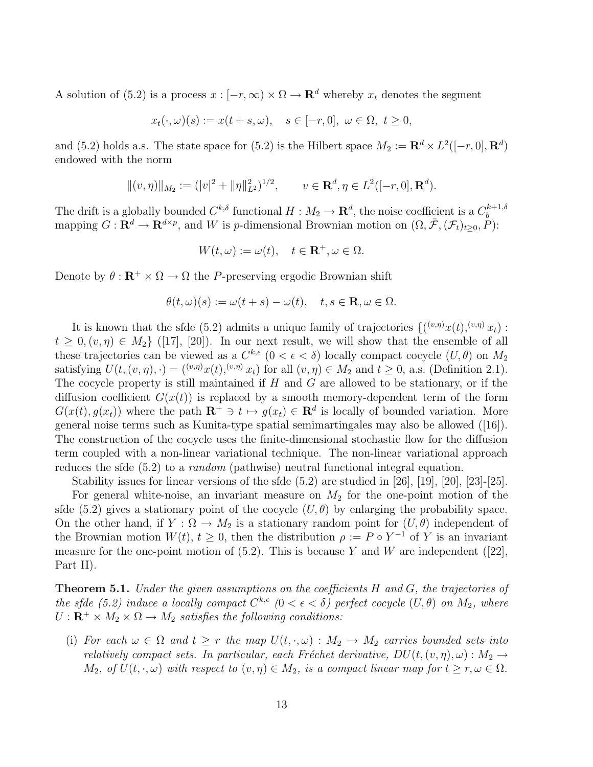A solution of (5.2) is a process  $x : [-r, \infty) \times \Omega \to \mathbb{R}^d$  whereby  $x_t$  denotes the segment

$$
x_t(\cdot,\omega)(s) := x(t+s,\omega), \quad s \in [-r,0], \ \omega \in \Omega, \ t \ge 0,
$$

and (5.2) holds a.s. The state space for (5.2) is the Hilbert space  $M_2 := \mathbf{R}^d \times L^2([-r, 0], \mathbf{R}^d)$ endowed with the norm

$$
\|(v,\eta)\|_{M_2} := (|v|^2 + \|\eta\|_{L^2}^2)^{1/2}, \qquad v \in \mathbf{R}^d, \eta \in L^2([-r,0], \mathbf{R}^d).
$$

The drift is a globally bounded  $C^{k,\delta}$  functional  $H: M_2 \to \mathbf{R}^d$ , the noise coefficient is a  $C_b^{k+1,\delta}$ b mapping  $G: \mathbf{R}^d \to \mathbf{R}^{d \times p}$ , and W is p-dimensional Brownian motion on  $(\Omega, \bar{\mathcal{F}}, (\mathcal{F}_t)_{t \geq 0}, P)$ :

$$
W(t,\omega) := \omega(t), \quad t \in \mathbf{R}^+, \omega \in \Omega.
$$

Denote by  $\theta : \mathbf{R}^+ \times \Omega \to \Omega$  the *P*-preserving ergodic Brownian shift

$$
\theta(t,\omega)(s) := \omega(t+s) - \omega(t), \quad t, s \in \mathbf{R}, \omega \in \Omega.
$$

It is known that the sfde (5.2) admits a unique family of trajectories  $\{({}^{(v,\eta)}x(t), {}^{(v,\eta)}x_t)$ :  $t \geq 0, (v, \eta) \in M_2$  ([17], [20]). In our next result, we will show that the ensemble of all these trajectories can be viewed as a  $C^{k,\epsilon}$  ( $0 < \epsilon < \delta$ ) locally compact cocycle  $(U, \theta)$  on  $M_2$ satisfying  $U(t, (v, \eta), \cdot) = (x^{(v,\eta)}x(t), (y,\eta), x_t)$  for all  $(v, \eta) \in M_2$  and  $t \geq 0$ , a.s. (Definition 2.1). The cocycle property is still maintained if  $H$  and  $G$  are allowed to be stationary, or if the diffusion coefficient  $G(x(t))$  is replaced by a smooth memory-dependent term of the form  $G(x(t), g(x_t))$  where the path  $\mathbf{R}^+ \ni t \mapsto g(x_t) \in \mathbf{R}^d$  is locally of bounded variation. More general noise terms such as Kunita-type spatial semimartingales may also be allowed ([16]). The construction of the cocycle uses the finite-dimensional stochastic flow for the diffusion term coupled with a non-linear variational technique. The non-linear variational approach reduces the sfde (5.2) to a random (pathwise) neutral functional integral equation.

Stability issues for linear versions of the sfde  $(5.2)$  are studied in [26], [19], [20], [23]-[25].

For general white-noise, an invariant measure on  $M_2$  for the one-point motion of the sfde (5.2) gives a stationary point of the cocycle  $(U, \theta)$  by enlarging the probability space. On the other hand, if  $Y : \Omega \to M_2$  is a stationary random point for  $(U, \theta)$  independent of the Brownian motion  $W(t)$ ,  $t \geq 0$ , then the distribution  $\rho := P \circ Y^{-1}$  of Y is an invariant measure for the one-point motion of  $(5.2)$ . This is because Y and W are independent  $(22)$ , Part II).

**Theorem 5.1.** Under the given assumptions on the coefficients  $H$  and  $G$ , the trajectories of the sfde (5.2) induce a locally compact  $C^{k,\epsilon}$  ( $0 < \epsilon < \delta$ ) perfect cocycle  $(U, \theta)$  on  $M_2$ , where  $U : \mathbf{R}^+ \times M_2 \times \Omega \to M_2$  satisfies the following conditions:

(i) For each  $\omega \in \Omega$  and  $t \geq r$  the map  $U(t, \cdot, \omega) : M_2 \to M_2$  carries bounded sets into relatively compact sets. In particular, each Fréchet derivative,  $DU(t,(v,\eta),\omega): M_2 \to$  $M_2$ , of  $U(t, \cdot, \omega)$  with respect to  $(v, \eta) \in M_2$ , is a compact linear map for  $t \ge r, \omega \in \Omega$ .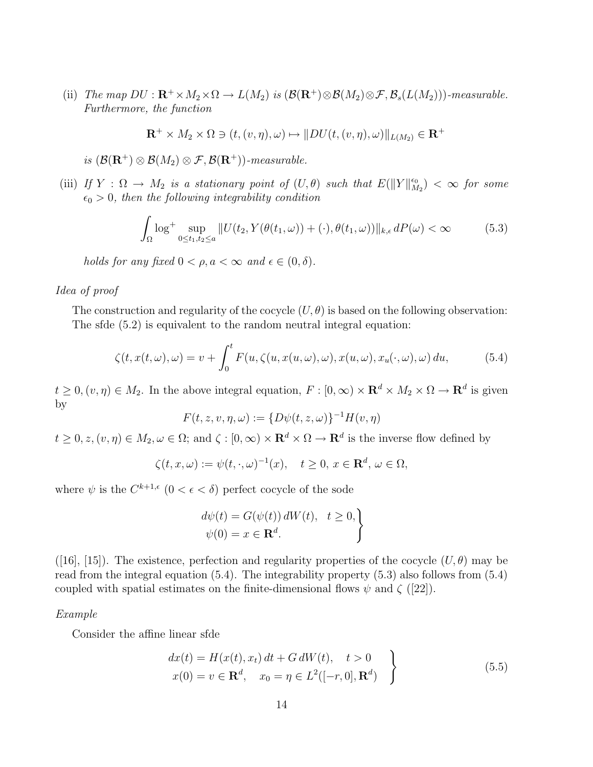(ii) The map  $DU : \mathbf{R}^+ \times M_2 \times \Omega \to L(M_2)$  is  $(\mathcal{B}(\mathbf{R}^+) \otimes \mathcal{B}(M_2) \otimes \mathcal{F}, \mathcal{B}_s(L(M_2)))$ -measurable. Furthermore, the function

$$
\mathbf{R}^+ \times M_2 \times \Omega \ni (t, (v, \eta), \omega) \mapsto \|DU(t, (v, \eta), \omega)\|_{L(M_2)} \in \mathbf{R}^+
$$

is  $(\mathcal{B}(\mathbf{R}^+) \otimes \mathcal{B}(M_2) \otimes \mathcal{F}, \mathcal{B}(\mathbf{R}^+))$ -measurable.

(iii) If  $Y : \Omega \to M_2$  is a stationary point of  $(U, \theta)$  such that  $E(||Y||_M^{\epsilon_0})$  $\binom{\epsilon_0}{M_2} < \infty$  for some  $\epsilon_0 > 0$ , then the following integrability condition

$$
\int_{\Omega} \log^{+} \sup_{0 \le t_1, t_2 \le a} ||U(t_2, Y(\theta(t_1, \omega)) + (\cdot), \theta(t_1, \omega))||_{k, \epsilon} dP(\omega) < \infty
$$
 (5.3)

holds for any fixed  $0 < \rho, a < \infty$  and  $\epsilon \in (0, \delta)$ .

#### Idea of proof

The construction and regularity of the cocycle  $(U, \theta)$  is based on the following observation: The sfde (5.2) is equivalent to the random neutral integral equation:

$$
\zeta(t, x(t, \omega), \omega) = v + \int_0^t F(u, \zeta(u, x(u, \omega), \omega), x(u, \omega), x_u(\cdot, \omega), \omega) du,
$$
(5.4)

 $t \geq 0, (v, \eta) \in M_2$ . In the above integral equation,  $F : [0, \infty) \times \mathbf{R}^d \times M_2 \times \Omega \to \mathbf{R}^d$  is given by

$$
F(t, z, v, \eta, \omega) := \{D\psi(t, z, \omega)\}^{-1}H(v, \eta)
$$

 $t \geq 0, z, (v, \eta) \in M_2, \omega \in \Omega$ ; and  $\zeta : [0, \infty) \times \mathbf{R}^d \times \Omega \to \mathbf{R}^d$  is the inverse flow defined by

$$
\zeta(t, x, \omega) := \psi(t, \cdot, \omega)^{-1}(x), \quad t \ge 0, \, x \in \mathbf{R}^d, \, \omega \in \Omega,
$$

where  $\psi$  is the  $C^{k+1,\epsilon}$   $(0 < \epsilon < \delta)$  perfect cocycle of the sode

$$
d\psi(t) = G(\psi(t)) dW(t), \quad t \ge 0,
$$
  

$$
\psi(0) = x \in \mathbf{R}^d.
$$

([16], [15]). The existence, perfection and regularity properties of the cocycle  $(U, \theta)$  may be read from the integral equation (5.4). The integrability property (5.3) also follows from (5.4) coupled with spatial estimates on the finite-dimensional flows  $\psi$  and  $\zeta$  ([22]).

#### Example

Consider the affine linear sfde

$$
dx(t) = H(x(t), x_t) dt + G dW(t), \quad t > 0
$$
  

$$
x(0) = v \in \mathbf{R}^d, \quad x_0 = \eta \in L^2([-r, 0], \mathbf{R}^d)
$$
 (5.5)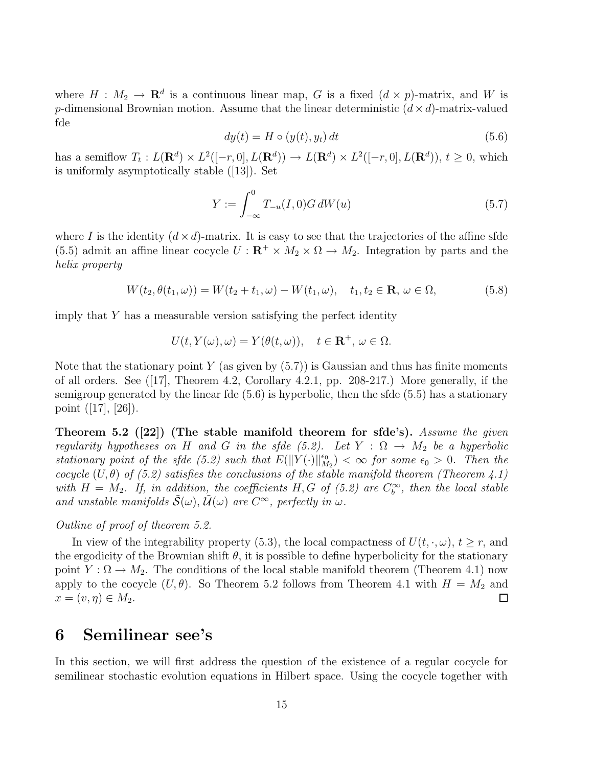where  $H: M_2 \to \mathbf{R}^d$  is a continuous linear map, G is a fixed  $(d \times p)$ -matrix, and W is p-dimensional Brownian motion. Assume that the linear deterministic  $(d \times d)$ -matrix-valued fde

$$
dy(t) = H \circ (y(t), y_t) dt \tag{5.6}
$$

has a semiflow  $T_t: L(\mathbf{R}^d) \times L^2([-r,0], L(\mathbf{R}^d)) \to L(\mathbf{R}^d) \times L^2([-r,0], L(\mathbf{R}^d)), t \geq 0$ , which is uniformly asymptotically stable ([13]). Set

$$
Y := \int_{-\infty}^{0} T_{-u}(I,0)G \, dW(u) \tag{5.7}
$$

where I is the identity  $(d \times d)$ -matrix. It is easy to see that the trajectories of the affine sfde (5.5) admit an affine linear cocycle  $U : \mathbf{R}^+ \times M_2 \times \Omega \to M_2$ . Integration by parts and the helix property

$$
W(t_2, \theta(t_1, \omega)) = W(t_2 + t_1, \omega) - W(t_1, \omega), \quad t_1, t_2 \in \mathbf{R}, \omega \in \Omega,
$$
\n(5.8)

imply that  $Y$  has a measurable version satisfying the perfect identity

$$
U(t, Y(\omega), \omega) = Y(\theta(t, \omega)), \quad t \in \mathbf{R}^+, \omega \in \Omega.
$$

Note that the stationary point  $Y$  (as given by  $(5.7)$ ) is Gaussian and thus has finite moments of all orders. See ([17], Theorem 4.2, Corollary 4.2.1, pp. 208-217.) More generally, if the semigroup generated by the linear fde (5.6) is hyperbolic, then the sfde (5.5) has a stationary point  $([17], [26])$ .

Theorem 5.2 ([22]) (The stable manifold theorem for sfde's). Assume the given regularity hypotheses on H and G in the sfde (5.2). Let  $Y : \Omega \to M_2$  be a hyperbolic stationary point of the sfde (5.2) such that  $E(||Y(\cdot)||_M^{\epsilon_0})$  $\binom{\epsilon_0}{M_2} < \infty$  for some  $\epsilon_0 > 0$ . Then the cocycle  $(U, \theta)$  of  $(5.2)$  satisfies the conclusions of the stable manifold theorem (Theorem 4.1) with  $H = M_2$ . If, in addition, the coefficients H, G of (5.2) are  $C_b^{\infty}$ , then the local stable and unstable manifolds  $\tilde{S}(\omega)$ ,  $\tilde{\mathcal{U}}(\omega)$  are  $C^{\infty}$ , perfectly in  $\omega$ .

#### Outline of proof of theorem 5.2.

In view of the integrability property (5.3), the local compactness of  $U(t, \cdot, \omega)$ ,  $t \geq r$ , and the ergodicity of the Brownian shift  $\theta$ , it is possible to define hyperbolicity for the stationary point  $Y : \Omega \to M_2$ . The conditions of the local stable manifold theorem (Theorem 4.1) now apply to the cocycle  $(U, \theta)$ . So Theorem 5.2 follows from Theorem 4.1 with  $H = M_2$  and  $x = (v, \eta) \in M_2$ .  $\Box$ 

### 6 Semilinear see's

In this section, we will first address the question of the existence of a regular cocycle for semilinear stochastic evolution equations in Hilbert space. Using the cocycle together with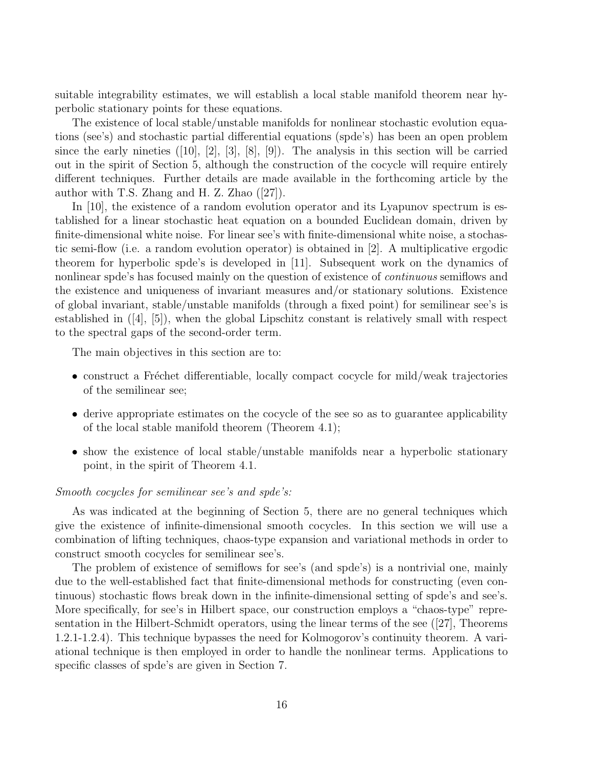suitable integrability estimates, we will establish a local stable manifold theorem near hyperbolic stationary points for these equations.

The existence of local stable/unstable manifolds for nonlinear stochastic evolution equations (see's) and stochastic partial differential equations (spde's) has been an open problem since the early nineties  $([10], [2], [3], [8], [9])$ . The analysis in this section will be carried out in the spirit of Section 5, although the construction of the cocycle will require entirely different techniques. Further details are made available in the forthcoming article by the author with T.S. Zhang and H. Z. Zhao  $(27)$ .

In [10], the existence of a random evolution operator and its Lyapunov spectrum is established for a linear stochastic heat equation on a bounded Euclidean domain, driven by finite-dimensional white noise. For linear see's with finite-dimensional white noise, a stochastic semi-flow (i.e. a random evolution operator) is obtained in [2]. A multiplicative ergodic theorem for hyperbolic spde's is developed in [11]. Subsequent work on the dynamics of nonlinear spde's has focused mainly on the question of existence of *continuous* semiflows and the existence and uniqueness of invariant measures and/or stationary solutions. Existence of global invariant, stable/unstable manifolds (through a fixed point) for semilinear see's is established in  $([4], [5])$ , when the global Lipschitz constant is relatively small with respect to the spectral gaps of the second-order term.

The main objectives in this section are to:

- construct a Fréchet differentiable, locally compact cocycle for mild/weak trajectories of the semilinear see;
- derive appropriate estimates on the cocycle of the see so as to guarantee applicability of the local stable manifold theorem (Theorem 4.1);
- show the existence of local stable/unstable manifolds near a hyperbolic stationary point, in the spirit of Theorem 4.1.

#### Smooth cocycles for semilinear see's and spde's:

As was indicated at the beginning of Section 5, there are no general techniques which give the existence of infinite-dimensional smooth cocycles. In this section we will use a combination of lifting techniques, chaos-type expansion and variational methods in order to construct smooth cocycles for semilinear see's.

The problem of existence of semiflows for see's (and spde's) is a nontrivial one, mainly due to the well-established fact that finite-dimensional methods for constructing (even continuous) stochastic flows break down in the infinite-dimensional setting of spde's and see's. More specifically, for see's in Hilbert space, our construction employs a "chaos-type" representation in the Hilbert-Schmidt operators, using the linear terms of the see ([27], Theorems 1.2.1-1.2.4). This technique bypasses the need for Kolmogorov's continuity theorem. A variational technique is then employed in order to handle the nonlinear terms. Applications to specific classes of spde's are given in Section 7.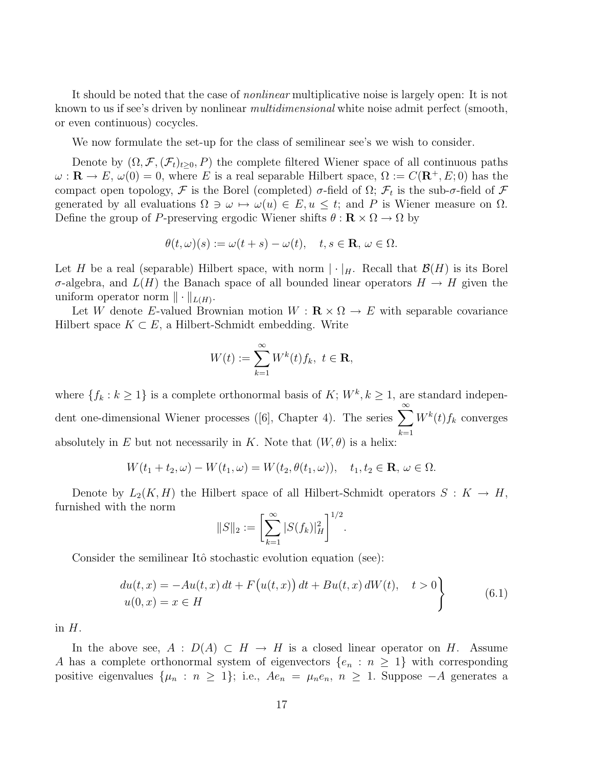It should be noted that the case of nonlinear multiplicative noise is largely open: It is not known to us if see's driven by nonlinear *multidimensional* white noise admit perfect (smooth, or even continuous) cocycles.

We now formulate the set-up for the class of semilinear see's we wish to consider.

Denote by  $(\Omega, \mathcal{F}, (\mathcal{F}_t)_{t>0}, P)$  the complete filtered Wiener space of all continuous paths  $\omega: \mathbf{R} \to E, \, \omega(0) = 0$ , where E is a real separable Hilbert space,  $\Omega := C(\mathbf{R}^+, E; 0)$  has the compact open topology,  $\mathcal F$  is the Borel (completed)  $\sigma$ -field of  $\Omega$ ;  $\mathcal F_t$  is the sub- $\sigma$ -field of  $\mathcal F$ generated by all evaluations  $\Omega \ni \omega \mapsto \omega(u) \in E, u \leq t$ ; and P is Wiener measure on  $\Omega$ . Define the group of P-preserving ergodic Wiener shifts  $\theta : \mathbf{R} \times \Omega \to \Omega$  by

$$
\theta(t,\omega)(s) := \omega(t+s) - \omega(t), \quad t, s \in \mathbf{R}, \omega \in \Omega.
$$

Let H be a real (separable) Hilbert space, with norm  $|\cdot|_H$ . Recall that  $\mathcal{B}(H)$  is its Borel  $\sigma$ -algebra, and  $L(H)$  the Banach space of all bounded linear operators  $H \to H$  given the uniform operator norm  $\|\cdot\|_{L(H)}$ .

Let W denote E-valued Brownian motion  $W : \mathbf{R} \times \Omega \to E$  with separable covariance Hilbert space  $K \subset E$ , a Hilbert-Schmidt embedding. Write

$$
W(t) := \sum_{k=1}^{\infty} W^k(t) f_k, \ t \in \mathbf{R},
$$

where  $\{f_k : k \geq 1\}$  is a complete orthonormal basis of K;  $W^k, k \geq 1$ , are standard independent one-dimensional Wiener processes ([6], Chapter 4). The series  $\sum_{n=1}^{\infty}$  $_{k=1}$  $W^k(t) f_k$  converges absolutely in E but not necessarily in K. Note that  $(W, \theta)$  is a helix:

$$
W(t_1+t_2,\omega)-W(t_1,\omega)=W(t_2,\theta(t_1,\omega)),\quad t_1,t_2\in\mathbf{R},\,\omega\in\Omega.
$$

Denote by  $L_2(K, H)$  the Hilbert space of all Hilbert-Schmidt operators  $S: K \to H$ , furnished with the norm

$$
||S||_2 := \left[\sum_{k=1}^{\infty} |S(f_k)|_H^2\right]^{1/2}.
$$

Consider the semilinear Itô stochastic evolution equation (see):

$$
du(t, x) = -Au(t, x) dt + F(u(t, x)) dt + Bu(t, x) dW(t), \quad t > 0
$$
  
 
$$
u(0, x) = x \in H
$$
 (6.1)

in  $H$ .

In the above see,  $A : D(A) \subset H \to H$  is a closed linear operator on H. Assume A has a complete orthonormal system of eigenvectors  $\{e_n : n \geq 1\}$  with corresponding positive eigenvalues  $\{\mu_n : n \geq 1\}$ ; i.e.,  $Ae_n = \mu_n e_n$ ,  $n \geq 1$ . Suppose  $-A$  generates a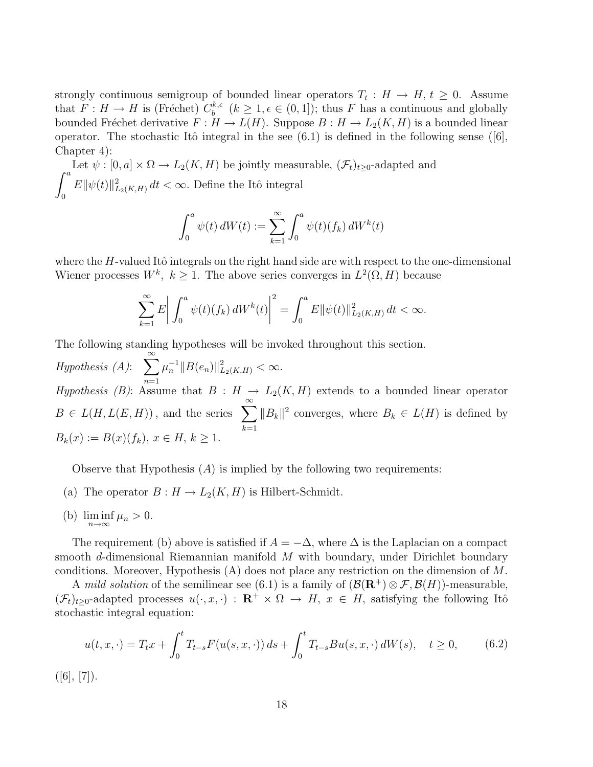strongly continuous semigroup of bounded linear operators  $T_t: H \to H, t \geq 0$ . Assume that  $F: H \to H$  is (Fréchet)  $C_b^{k,\epsilon}$  $b_b^{k,\epsilon}$   $(k \geq 1, \epsilon \in (0,1])$ ; thus F has a continuous and globally bounded Fréchet derivative  $F : H \to L(H)$ . Suppose  $B : H \to L_2(K, H)$  is a bounded linear operator. The stochastic Itô integral in the see  $(6.1)$  is defined in the following sense  $([6],$ Chapter 4):

Let  $\psi : [0, a] \times \Omega \to L_2(K, H)$  be jointly measurable,  $(\mathcal{F}_t)_{t \geq 0}$ -adapted and  $\int^a$ 0  $E\|\psi(t)\|_{L_2(K,H)}^2 dt < \infty$ . Define the Itô integral

$$
\int_0^a \psi(t) \, dW(t) := \sum_{k=1}^\infty \int_0^a \psi(t) (f_k) \, dW^k(t)
$$

where the  $H$ -valued Itô integrals on the right hand side are with respect to the one-dimensional Wiener processes  $W^k$ ,  $k \geq 1$ . The above series converges in  $L^2(\Omega, H)$  because

$$
\sum_{k=1}^{\infty} E \left| \int_0^a \psi(t)(f_k) dW^k(t) \right|^2 = \int_0^a E ||\psi(t)||^2_{L_2(K,H)} dt < \infty.
$$

The following standing hypotheses will be invoked throughout this section.

Hypothesis (A):  $\sum_{n=1}^{\infty}$  $n=1$  $\mu_n^{-1} \|B(e_n)\|_{L_2(K,H)}^2 < \infty.$ 

Hypothesis (B): Assume that  $B : H \to L_2(K, H)$  extends to a bounded linear operator  $B \in L(H, L(E, H))$ , and the series  $\sum_{n=1}^{\infty}$  $_{k=1}$  $||B_k||^2$  converges, where  $B_k \in L(H)$  is defined by  $B_k(x) := B(x)(f_k), x \in H, k \ge 1.$ 

Observe that Hypothesis  $(A)$  is implied by the following two requirements:

- (a) The operator  $B: H \to L_2(K, H)$  is Hilbert-Schmidt.
- (b)  $\liminf_{n\to\infty}\mu_n>0.$

The requirement (b) above is satisfied if  $A = -\Delta$ , where  $\Delta$  is the Laplacian on a compact smooth d-dimensional Riemannian manifold  $M$  with boundary, under Dirichlet boundary conditions. Moreover, Hypothesis (A) does not place any restriction on the dimension of M.

A mild solution of the semilinear see (6.1) is a family of  $(\mathcal{B}(\mathbf{R}^+) \otimes \mathcal{F}, \mathcal{B}(H))$ -measurable,  $(\mathcal{F}_t)_{t>0}$ -adapted processes  $u(\cdot, x, \cdot) : \mathbf{R}^+ \times \Omega \to H$ ,  $x \in H$ , satisfying the following Itô stochastic integral equation:

$$
u(t, x, \cdot) = T_t x + \int_0^t T_{t-s} F(u(s, x, \cdot)) ds + \int_0^t T_{t-s} B u(s, x, \cdot) dW(s), \quad t \ge 0,
$$
 (6.2)

 $([6], [7]).$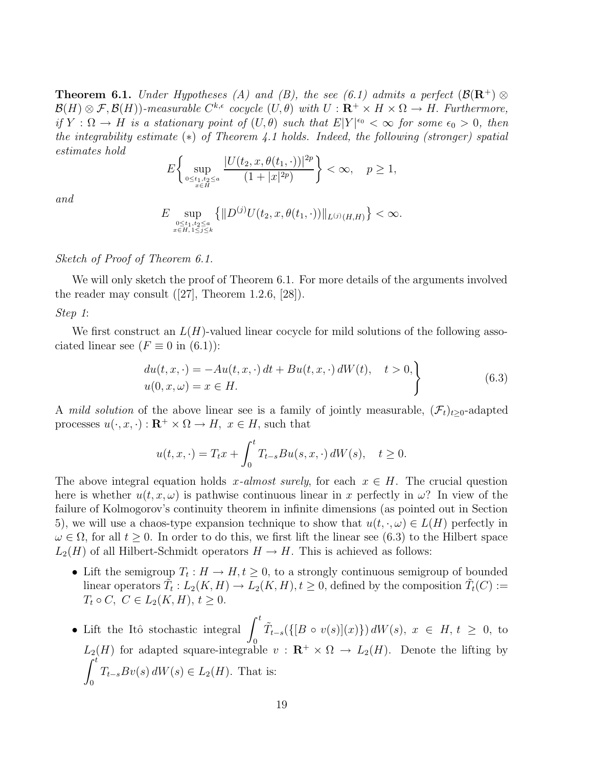**Theorem 6.1.** Under Hypotheses (A) and (B), the see (6.1) admits a perfect  $(\mathcal{B}(\mathbf{R}^+) \otimes$  $\mathcal{B}(H) \otimes \mathcal{F}, \mathcal{B}(H)$ -measurable  $C^{k,\epsilon}$  cocycle  $(U, \theta)$  with  $U : \mathbf{R}^+ \times H \times \Omega \to H$ . Furthermore, if  $Y: \Omega \to H$  is a stationary point of  $(U, \theta)$  such that  $E|Y|^{e_0} < \infty$  for some  $\epsilon_0 > 0$ , then the integrability estimate  $(*)$  of Theorem 4.1 holds. Indeed, the following (stronger) spatial estimates hold

$$
E\bigg\{\sup_{0\le t_1,t_2\le a \atop x\in H} \frac{|U(t_2,x,\theta(t_1,\cdot))|^{2p}}{(1+|x|^{2p})}\bigg\} < \infty, \quad p \ge 1,
$$

and

$$
E \sup_{\substack{0 \le t_1, t_2 \le a \\ x \in H, 1 \le j \le k}} \{ \| D^{(j)} U(t_2, x, \theta(t_1, \cdot)) \|_{L^{(j)}(H, H)} \} < \infty.
$$

Sketch of Proof of Theorem 6.1.

We will only sketch the proof of Theorem 6.1. For more details of the arguments involved the reader may consult  $([27],$  Theorem 1.2.6,  $[28]$ ).

#### Step 1:

We first construct an  $L(H)$ -valued linear cocycle for mild solutions of the following associated linear see  $(F \equiv 0 \text{ in } (6.1))$ :

$$
du(t, x, \cdot) = -Au(t, x, \cdot) dt + Bu(t, x, \cdot) dW(t), \quad t > 0,
$$
  

$$
u(0, x, \omega) = x \in H.
$$
 (6.3)

A mild solution of the above linear see is a family of jointly measurable,  $(\mathcal{F}_t)_{t>0}$ -adapted processes  $u(\cdot, x, \cdot): \mathbf{R}^+ \times \Omega \to H$ ,  $x \in H$ , such that

$$
u(t, x, \cdot) = T_t x + \int_0^t T_{t-s} B u(s, x, \cdot) dW(s), \quad t \ge 0.
$$

The above integral equation holds x-almost surely, for each  $x \in H$ . The crucial question here is whether  $u(t, x, \omega)$  is pathwise continuous linear in x perfectly in  $\omega$ ? In view of the failure of Kolmogorov's continuity theorem in infinite dimensions (as pointed out in Section 5), we will use a chaos-type expansion technique to show that  $u(t, \cdot, \omega) \in L(H)$  perfectly in  $\omega \in \Omega$ , for all  $t \geq 0$ . In order to do this, we first lift the linear see (6.3) to the Hilbert space  $L_2(H)$  of all Hilbert-Schmidt operators  $H \to H$ . This is achieved as follows:

- Lift the semigroup  $T_t: H \to H, t \geq 0$ , to a strongly continuous semigroup of bounded linear operators  $\tilde{T}_t: L_2(K, H) \to L_2(K, H), t \geq 0$ , defined by the composition  $\tilde{T}_t(C) :=$  $T_t \circ C$ ,  $C \in L_2(K, H)$ ,  $t \geq 0$ .
- Lift the Itô stochastic integral  $\int^t \tilde{T}_{t-s}(\{[B \circ v(s)](x)\}) dW(s), x \in H, t \geq 0$ , to  $L_2(H)$  for adapted square-integrable  $v : \mathbf{R}^+ \times \Omega \to L_2(H)$ . Denote the lifting by  $\int_0^t$  $\boldsymbol{0}$  $T_{t-s}Bv(s) dW(s) \in L_2(H)$ . That is: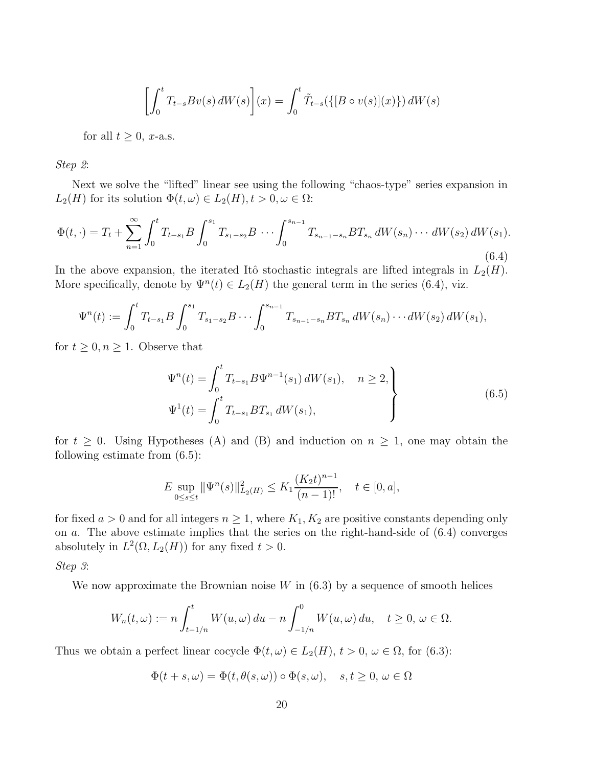$$
\left[\int_0^t T_{t-s} B v(s) dW(s)\right](x) = \int_0^t \tilde{T}_{t-s}(\left\{[B \circ v(s)](x)\right\}) dW(s)
$$

for all  $t \geq 0$ , x-a.s.

Step 2:

Next we solve the "lifted" linear see using the following "chaos-type" series expansion in  $L_2(H)$  for its solution  $\Phi(t,\omega) \in L_2(H)$ ,  $t > 0, \omega \in \Omega$ :

$$
\Phi(t,\cdot) = T_t + \sum_{n=1}^{\infty} \int_0^t T_{t-s_1} B \int_0^{s_1} T_{s_1-s_2} B \cdots \int_0^{s_{n-1}} T_{s_{n-1}-s_n} B T_{s_n} dW(s_n) \cdots dW(s_2) dW(s_1).
$$
\n(6.4)

In the above expansion, the iterated Itô stochastic integrals are lifted integrals in  $L_2(H)$ . More specifically, denote by  $\Psi^{n}(t) \in L_2(H)$  the general term in the series (6.4), viz.

$$
\Psi^{n}(t) := \int_{0}^{t} T_{t-s_{1}} B \int_{0}^{s_{1}} T_{s_{1}-s_{2}} B \cdots \int_{0}^{s_{n-1}} T_{s_{n-1}-s_{n}} B T_{s_{n}} dW(s_{n}) \cdots dW(s_{2}) dW(s_{1}),
$$

for  $t \geq 0, n \geq 1$ . Observe that

$$
\Psi^{n}(t) = \int_{0}^{t} T_{t-s_{1}} B \Psi^{n-1}(s_{1}) dW(s_{1}), \quad n \ge 2,
$$
\n
$$
\Psi^{1}(t) = \int_{0}^{t} T_{t-s_{1}} B T_{s_{1}} dW(s_{1}), \qquad (6.5)
$$

for  $t \geq 0$ . Using Hypotheses (A) and (B) and induction on  $n \geq 1$ , one may obtain the following estimate from (6.5):

$$
E \sup_{0 \le s \le t} \|\Psi^n(s)\|_{L_2(H)}^2 \le K_1 \frac{(K_2 t)^{n-1}}{(n-1)!}, \quad t \in [0, a],
$$

for fixed  $a > 0$  and for all integers  $n \ge 1$ , where  $K_1, K_2$  are positive constants depending only on a. The above estimate implies that the series on the right-hand-side of (6.4) converges absolutely in  $L^2(\Omega, L_2(H))$  for any fixed  $t > 0$ .

Step 3:

We now approximate the Brownian noise  $W$  in  $(6.3)$  by a sequence of smooth helices

$$
W_n(t,\omega) := n \int_{t-1/n}^t W(u,\omega) du - n \int_{-1/n}^0 W(u,\omega) du, \quad t \ge 0, \omega \in \Omega.
$$

Thus we obtain a perfect linear cocycle  $\Phi(t,\omega) \in L_2(H)$ ,  $t > 0$ ,  $\omega \in \Omega$ , for (6.3):

$$
\Phi(t+s,\omega) = \Phi(t,\theta(s,\omega)) \circ \Phi(s,\omega), \quad s, t \ge 0, \omega \in \Omega
$$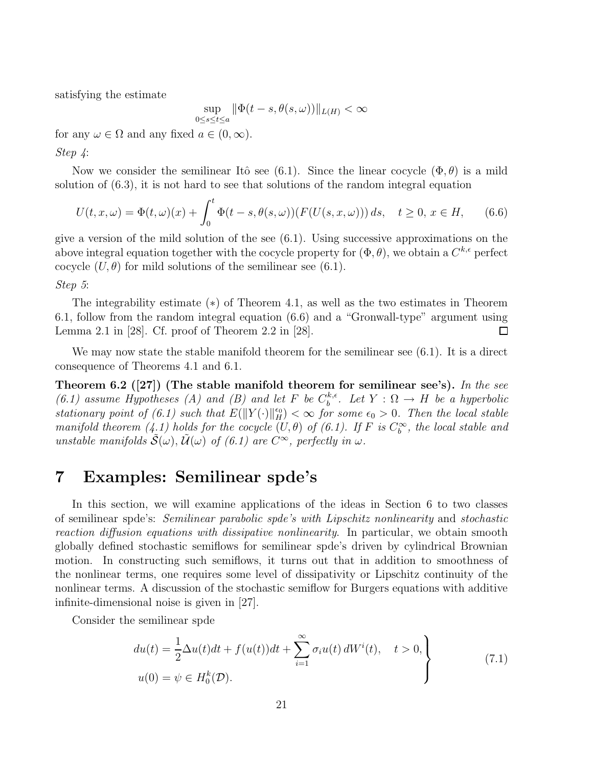satisfying the estimate

$$
\sup_{0\le s\le t\le a}\|\Phi(t-s,\theta(s,\omega))\|_{L(H)}<\infty
$$

for any  $\omega \in \Omega$  and any fixed  $a \in (0, \infty)$ .

Step 4:

Now we consider the semilinear Itô see (6.1). Since the linear cocycle  $(\Phi, \theta)$  is a mild solution of (6.3), it is not hard to see that solutions of the random integral equation

$$
U(t, x, \omega) = \Phi(t, \omega)(x) + \int_0^t \Phi(t - s, \theta(s, \omega)) (F(U(s, x, \omega))) ds, \quad t \ge 0, x \in H,
$$
 (6.6)

give a version of the mild solution of the see (6.1). Using successive approximations on the above integral equation together with the cocycle property for  $(\Phi, \theta)$ , we obtain a  $C^{k,\epsilon}$  perfect cocycle  $(U, \theta)$  for mild solutions of the semilinear see (6.1).

Step 5:

The integrability estimate (∗) of Theorem 4.1, as well as the two estimates in Theorem 6.1, follow from the random integral equation (6.6) and a "Gronwall-type" argument using Lemma 2.1 in [28]. Cf. proof of Theorem 2.2 in [28].  $\Box$ 

We may now state the stable manifold theorem for the semilinear see  $(6.1)$ . It is a direct consequence of Theorems 4.1 and 6.1.

Theorem 6.2 ([27]) (The stable manifold theorem for semilinear see's). In the see (6.1) assume Hypotheses (A) and (B) and let F be  $C_b^{k,\epsilon}$  $b^{k,\epsilon}$ . Let  $Y: \Omega \to H$  be a hyperbolic stationary point of (6.1) such that  $E(||Y(\cdot)||_H^{\epsilon_0}) < \infty$  for some  $\epsilon_0 > 0$ . Then the local stable manifold theorem  $(4.1)$  holds for the cocycle  $(U, \theta)$  of  $(6.1)$ . If F is  $C_b^{\infty}$ , the local stable and unstable manifolds  $\tilde{S}(\omega)$ ,  $\tilde{\mathcal{U}}(\omega)$  of (6.1) are  $C^{\infty}$ , perfectly in  $\omega$ .

### 7 Examples: Semilinear spde's

In this section, we will examine applications of the ideas in Section 6 to two classes of semilinear spde's: Semilinear parabolic spde's with Lipschitz nonlinearity and stochastic reaction diffusion equations with dissipative nonlinearity. In particular, we obtain smooth globally defined stochastic semiflows for semilinear spde's driven by cylindrical Brownian motion. In constructing such semiflows, it turns out that in addition to smoothness of the nonlinear terms, one requires some level of dissipativity or Lipschitz continuity of the nonlinear terms. A discussion of the stochastic semiflow for Burgers equations with additive infinite-dimensional noise is given in [27].

Consider the semilinear spde

$$
du(t) = \frac{1}{2}\Delta u(t)dt + f(u(t))dt + \sum_{i=1}^{\infty} \sigma_i u(t) dW^i(t), \quad t > 0,
$$
  

$$
u(0) = \psi \in H_0^k(\mathcal{D}).
$$
 (7.1)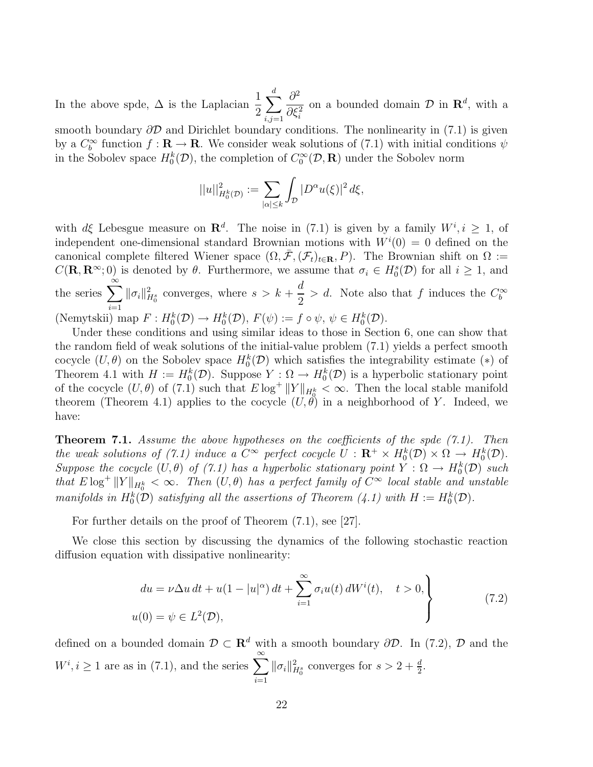In the above spde,  $\Delta$  is the Laplacian  $\frac{1}{2}$ 2  $\sum$ d  $_{i,j=1}$  $\partial^2$  $\partial \xi_i^2$ on a bounded domain  $\mathcal{D}$  in  $\mathbf{R}^d$ , with a

smooth boundary  $\partial \mathcal{D}$  and Dirichlet boundary conditions. The nonlinearity in (7.1) is given by a  $C_b^{\infty}$  function  $f: \mathbf{R} \to \mathbf{R}$ . We consider weak solutions of (7.1) with initial conditions  $\psi$ in the Sobolev space  $H_0^k(\mathcal{D})$ , the completion of  $C_0^{\infty}(\mathcal{D}, \mathbf{R})$  under the Sobolev norm

$$
||u||_{H_0^k(\mathcal{D})}^2 := \sum_{|\alpha| \leq k} \int_{\mathcal{D}} |D^{\alpha} u(\xi)|^2 d\xi,
$$

with  $d\xi$  Lebesgue measure on  $\mathbb{R}^d$ . The noise in (7.1) is given by a family  $W^i, i \geq 1$ , of independent one-dimensional standard Brownian motions with  $W^{i}(0) = 0$  defined on the canonical complete filtered Wiener space  $(\Omega, \bar{\mathcal{F}}, (\mathcal{F}_t)_{t \in \mathbf{R}}, P)$ . The Brownian shift on  $\Omega :=$  $C(\mathbf{R}, \mathbf{R}^{\infty}; 0)$  is denoted by  $\theta$ . Furthermore, we assume that  $\sigma_i \in H_0^s(\mathcal{D})$  for all  $i \geq 1$ , and the series  $\sum_{k=1}^{\infty} ||\sigma_i||_{H_s}^2$  converges, where  $s > k + \frac{d}{2} > d$ . Note also the  $i=1$  $\|\sigma_i\|_{H_0^s}^2$  converges, where  $s > k +$ d 2  $> d$ . Note also that f induces the  $C_b^{\infty}$ (Nemytskii) map  $F: H_0^k(\mathcal{D}) \to H_0^k(\mathcal{D}), F(\psi) := f \circ \psi, \psi \in H_0^k(\mathcal{D}).$ 

Under these conditions and using similar ideas to those in Section 6, one can show that the random field of weak solutions of the initial-value problem (7.1) yields a perfect smooth cocycle  $(U, \theta)$  on the Sobolev space  $H_0^k(D)$  which satisfies the integrability estimate (\*) of Theorem 4.1 with  $H := H_0^k(\mathcal{D})$ . Suppose  $Y : \Omega \to H_0^k(\mathcal{D})$  is a hyperbolic stationary point of the cocycle  $(U, \theta)$  of  $(7.1)$  such that  $E \log^+ ||Y||_{H^k_Q} < \infty$ . Then the local stable manifold theorem (Theorem 4.1) applies to the cocycle  $(U, \hat{\theta})$  in a neighborhood of Y. Indeed, we have:

**Theorem 7.1.** Assume the above hypotheses on the coefficients of the spde  $(7.1)$ . Then the weak solutions of (7.1) induce a  $C^{\infty}$  perfect cocycle  $U : \mathbf{R}^+ \times H_0^k(\mathcal{D}) \times \Omega \to H_0^k(\mathcal{D})$ . Suppose the cocycle  $(U, \theta)$  of  $(7.1)$  has a hyperbolic stationary point  $Y : \Omega \to H_0^k(D)$  such that  $E \log^+ ||Y||_{H_0^k} < \infty$ . Then  $(U, \theta)$  has a perfect family of  $C^{\infty}$  local stable and unstable manifolds in  $H_0^k(\mathcal{D})$  satisfying all the assertions of Theorem (4.1) with  $H := H_0^k(\mathcal{D})$ .

For further details on the proof of Theorem (7.1), see [27].

We close this section by discussing the dynamics of the following stochastic reaction diffusion equation with dissipative nonlinearity:

$$
du = \nu \Delta u \, dt + u(1 - |u|^{\alpha}) \, dt + \sum_{i=1}^{\infty} \sigma_i u(t) \, dW^i(t), \quad t > 0,
$$
\n
$$
u(0) = \psi \in L^2(\mathcal{D}), \tag{7.2}
$$

defined on a bounded domain  $\mathcal{D} \subset \mathbb{R}^d$  with a smooth boundary  $\partial \mathcal{D}$ . In (7.2),  $\mathcal D$  and the  $W^i, i \geq 1$  are as in (7.1), and the series  $\sum_{i=1}^{\infty}$  $\frac{i=1}{i}$  $\|\sigma_i\|_{H_0^s}^2$  converges for  $s > 2 + \frac{d}{2}$  $\frac{d}{2}$ .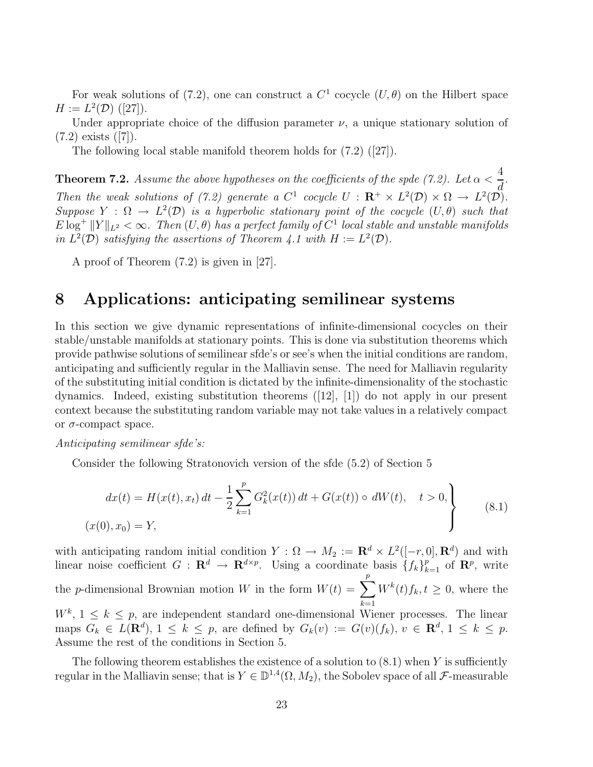For weak solutions of (7.2), one can construct a  $C^1$  cocycle  $(U, \theta)$  on the Hilbert space  $H := L^2(\mathcal{D})$  ([27]).

Under appropriate choice of the diffusion parameter  $\nu$ , a unique stationary solution of  $(7.2)$  exists  $([7])$ .

The following local stable manifold theorem holds for (7.2) ([27]).

**Theorem 7.2.** Assume the above hypotheses on the coefficients of the spde (7.2). Let  $\alpha < \frac{4}{l}$ d . Then the weak solutions of (7.2) generate a  $C^1$  cocycle  $U : \mathbb{R}^+ \times L^2(\mathcal{D}) \times \Omega \to L^2(\mathcal{D})$ . Suppose  $Y : \Omega \to L^2(\mathcal{D})$  is a hyperbolic stationary point of the cocycle  $(U, \theta)$  such that  $E \log^+ \|Y\|_{L^2} < \infty$ . Then  $(U, \theta)$  has a perfect family of  $C^1$  local stable and unstable manifolds in  $L^2(\mathcal{D})$  satisfying the assertions of Theorem 4.1 with  $H := L^2(\mathcal{D})$ .

A proof of Theorem (7.2) is given in [27].

### 8 Applications: anticipating semilinear systems

In this section we give dynamic representations of infinite-dimensional cocycles on their stable/unstable manifolds at stationary points. This is done via substitution theorems which provide pathwise solutions of semilinear sfde's or see's when the initial conditions are random, anticipating and sufficiently regular in the Malliavin sense. The need for Malliavin regularity of the substituting initial condition is dictated by the infinite-dimensionality of the stochastic dynamics. Indeed, existing substitution theorems ([12], [1]) do not apply in our present context because the substituting random variable may not take values in a relatively compact or σ-compact space.

#### Anticipating semilinear sfde's:

Consider the following Stratonovich version of the sfde (5.2) of Section 5

$$
dx(t) = H(x(t), x_t) dt - \frac{1}{2} \sum_{k=1}^{p} G_k^2(x(t)) dt + G(x(t)) \circ dW(t), \quad t > 0,
$$
  
(x(0), x<sub>0</sub>) = Y, (8.1)

with anticipating random initial condition  $Y : \Omega \to M_2 := \mathbf{R}^d \times L^2([-r, 0], \mathbf{R}^d)$  and with linear noise coefficient  $G: \mathbf{R}^d \to \mathbf{R}^{d \times p}$ . Using a coordinate basis  $\{f_k\}_{k=1}^p$  of  $\mathbf{R}^p$ , write the p-dimensional Brownian motion W in the form  $W(t) = \sum$ p  $W^k$ ,  $1 \leq k \leq p$ , are independent standard one-dimensional Wiener processes. The linear  $W^k(t) f_k, t \geq 0$ , where the maps  $G_k \in L(\mathbf{R}^d)$ ,  $1 \leq k \leq p$ , are defined by  $G_k(v) := G(v)(f_k)$ ,  $v \in \mathbf{R}^d$ ,  $1 \leq k \leq p$ . Assume the rest of the conditions in Section 5.

The following theorem establishes the existence of a solution to  $(8.1)$  when Y is sufficiently regular in the Malliavin sense; that is  $Y \in \mathbb{D}^{1,4}(\Omega, M_2)$ , the Sobolev space of all *F*-measurable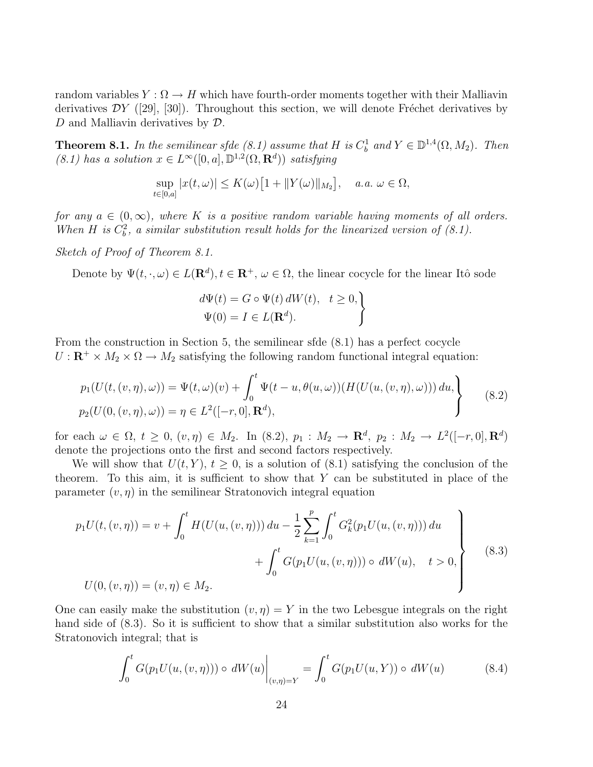random variables  $Y : \Omega \to H$  which have fourth-order moments together with their Malliavin derivatives  $\mathcal{D}Y$  ([29], [30]). Throughout this section, we will denote Fréchet derivatives by D and Malliavin derivatives by  $\mathcal{D}$ .

**Theorem 8.1.** In the semilinear sfde (8.1) assume that H is  $C_b^1$  and  $Y \in \mathbb{D}^{1,4}(\Omega, M_2)$ . Then (8.1) has a solution  $x \in L^{\infty}([0, a], \mathbb{D}^{1,2}(\Omega, \mathbf{R}^d))$  satisfying

$$
\sup_{t\in[0,a]}|x(t,\omega)|\leq K(\omega)\big[1+\|Y(\omega)\|_{M_2}\big],\quad a.a. \ \omega\in\Omega,
$$

for any  $a \in (0,\infty)$ , where K is a positive random variable having moments of all orders. When H is  $C_b^2$ , a similar substitution result holds for the linearized version of (8.1).

Sketch of Proof of Theorem 8.1.

Denote by  $\Psi(t,\cdot,\omega) \in L(\mathbf{R}^d), t \in \mathbf{R}^+, \omega \in \Omega$ , the linear cocycle for the linear Itô sode

$$
d\Psi(t) = G \circ \Psi(t) dW(t), \quad t \ge 0,
$$
  

$$
\Psi(0) = I \in L(\mathbf{R}^d).
$$

From the construction in Section 5, the semilinear sfde (8.1) has a perfect cocycle  $U: \mathbf{R}^+ \times M_2 \times \Omega \to M_2$  satisfying the following random functional integral equation:

$$
p_1(U(t, (v, \eta), \omega)) = \Psi(t, \omega)(v) + \int_0^t \Psi(t - u, \theta(u, \omega))(H(U(u, (v, \eta), \omega))) du, \np_2(U(0, (v, \eta), \omega)) = \eta \in L^2([-r, 0], \mathbf{R}^d),
$$
\n(8.2)

for each  $\omega \in \Omega$ ,  $t \geq 0$ ,  $(v, \eta) \in M_2$ . In (8.2),  $p_1 : M_2 \to \mathbf{R}^d$ ,  $p_2 : M_2 \to L^2([-r, 0], \mathbf{R}^d)$ denote the projections onto the first and second factors respectively.

We will show that  $U(t, Y), t \geq 0$ , is a solution of (8.1) satisfying the conclusion of the theorem. To this aim, it is sufficient to show that  $Y$  can be substituted in place of the parameter  $(v, \eta)$  in the semilinear Stratonovich integral equation

$$
p_1U(t, (v, \eta)) = v + \int_0^t H(U(u, (v, \eta))) du - \frac{1}{2} \sum_{k=1}^p \int_0^t G_k^2(p_1U(u, (v, \eta))) du + \int_0^t G(p_1U(u, (v, \eta))) \circ dW(u), \quad t > 0,
$$
  

$$
U(0, (v, \eta)) = (v, \eta) \in M_2.
$$
 (8.3)

One can easily make the substitution  $(v, \eta) = Y$  in the two Lebesgue integrals on the right hand side of  $(8.3)$ . So it is sufficient to show that a similar substitution also works for the Stratonovich integral; that is

$$
\int_0^t G(p_1 U(u, (v, \eta))) \circ dW(u) \Big|_{(v, \eta) = Y} = \int_0^t G(p_1 U(u, Y)) \circ dW(u) \tag{8.4}
$$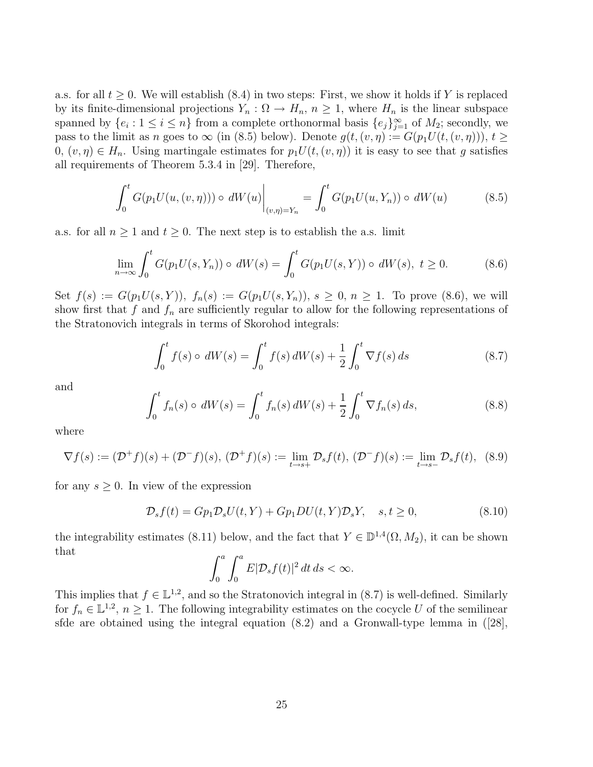a.s. for all  $t \geq 0$ . We will establish (8.4) in two steps: First, we show it holds if Y is replaced by its finite-dimensional projections  $Y_n$ :  $\Omega \to H_n$ ,  $n \geq 1$ , where  $H_n$  is the linear subspace spanned by  $\{e_i: 1 \leq i \leq n\}$  from a complete orthonormal basis  $\{e_j\}_{j=1}^{\infty}$  of  $M_2$ ; secondly, we pass to the limit as n goes to  $\infty$  (in (8.5) below). Denote  $g(t,(v,\eta)) := G(p_1U(t,(v,\eta))), t \geq 0$  $0, (v, \eta) \in H_n$ . Using martingale estimates for  $p_1U(t,(v, \eta))$  it is easy to see that g satisfies all requirements of Theorem 5.3.4 in [29]. Therefore,

$$
\int_0^t G(p_1 U(u, (v, \eta))) \circ dW(u) \bigg|_{(v, \eta) = Y_n} = \int_0^t G(p_1 U(u, Y_n)) \circ dW(u) \tag{8.5}
$$

a.s. for all  $n \geq 1$  and  $t \geq 0$ . The next step is to establish the a.s. limit

$$
\lim_{n \to \infty} \int_0^t G(p_1 U(s, Y_n)) \circ dW(s) = \int_0^t G(p_1 U(s, Y)) \circ dW(s), \ t \ge 0. \tag{8.6}
$$

Set  $f(s) := G(p_1U(s, Y)), f_n(s) := G(p_1U(s, Y_n)), s \ge 0, n \ge 1$ . To prove (8.6), we will show first that f and  $f_n$  are sufficiently regular to allow for the following representations of the Stratonovich integrals in terms of Skorohod integrals:

$$
\int_0^t f(s) \circ dW(s) = \int_0^t f(s) dW(s) + \frac{1}{2} \int_0^t \nabla f(s) ds \tag{8.7}
$$

and

$$
\int_0^t f_n(s) \circ dW(s) = \int_0^t f_n(s) dW(s) + \frac{1}{2} \int_0^t \nabla f_n(s) ds,
$$
\n(8.8)

where

$$
\nabla f(s) := (\mathcal{D}^+ f)(s) + (\mathcal{D}^- f)(s), \ (\mathcal{D}^+ f)(s) := \lim_{t \to s+} \mathcal{D}_s f(t), \ (\mathcal{D}^- f)(s) := \lim_{t \to s-} \mathcal{D}_s f(t), \tag{8.9}
$$

for any  $s \geq 0$ . In view of the expression

$$
\mathcal{D}_s f(t) = G p_1 \mathcal{D}_s U(t, Y) + G p_1 D U(t, Y) \mathcal{D}_s Y, \quad s, t \ge 0,
$$
\n(8.10)

the integrability estimates (8.11) below, and the fact that  $Y \in \mathbb{D}^{1,4}(\Omega, M_2)$ , it can be shown that

$$
\int_0^a \int_0^a E|\mathcal{D}_s f(t)|^2 dt ds < \infty.
$$

This implies that  $f \in \mathbb{L}^{1,2}$ , and so the Stratonovich integral in (8.7) is well-defined. Similarly for  $f_n \in \mathbb{L}^{1,2}$ ,  $n \geq 1$ . The following integrability estimates on the cocycle U of the semilinear sfde are obtained using the integral equation  $(8.2)$  and a Gronwall-type lemma in  $(28)$ ,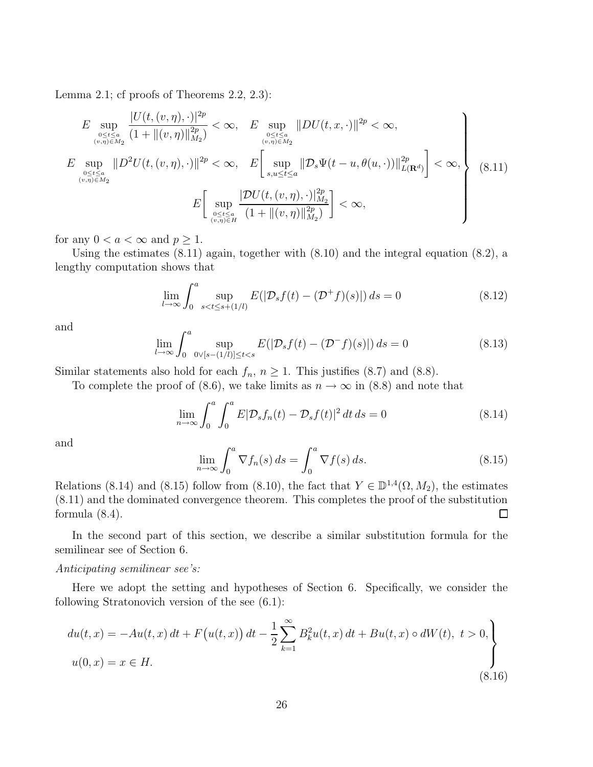Lemma 2.1; cf proofs of Theorems 2.2, 2.3):

$$
E \sup_{\substack{0 \le t \le a \\ (v,\eta) \in M_2}} \frac{|U(t,(v,\eta),\cdot)|^{2p}}{(1+\|(v,\eta)\|_{M_2}^{2p})} < \infty, \quad E \sup_{\substack{0 \le t \le a \\ (v,\eta) \in M_2}} \|DU(t,x,\cdot)\|^{2p} < \infty,
$$
  

$$
E \sup_{\substack{0 \le t \le a \\ (v,\eta) \in M_2}} \|D^2 U(t,(v,\eta),\cdot)\|^{2p} < \infty, \quad E \left[ \sup_{s,u \le t \le a} \|\mathcal{D}_s \Psi(t-u,\theta(u,\cdot))\|_{L(\mathbf{R}^d)}^{2p} \right] < \infty,
$$
  

$$
E \left[ \sup_{\substack{0 \le t \le a \\ 0 \le t \le a \\ (v,\eta) \in H}} \frac{|\mathcal{D}U(t,(v,\eta),\cdot)|_{M_2}^{2p}}{(1+\|(v,\eta)\|_{M_2}^{2p})} \right] < \infty,
$$
\n
$$
(8.11)
$$

for any  $0 < a < \infty$  and  $p \geq 1$ .

Using the estimates (8.11) again, together with (8.10) and the integral equation (8.2), a lengthy computation shows that

$$
\lim_{l \to \infty} \int_0^a \sup_{s < t \le s + (1/l)} E(|\mathcal{D}_s f(t) - (\mathcal{D}^+ f)(s)|) ds = 0 \tag{8.12}
$$

and

$$
\lim_{l \to \infty} \int_0^a \sup_{0 \vee [s - (1/l)] \le t < s} E(|\mathcal{D}_s f(t) - (\mathcal{D}^- f)(s)|) \, ds = 0 \tag{8.13}
$$

Similar statements also hold for each  $f_n$ ,  $n \geq 1$ . This justifies (8.7) and (8.8).

To complete the proof of (8.6), we take limits as  $n \to \infty$  in (8.8) and note that

$$
\lim_{n \to \infty} \int_0^a \int_0^a E|\mathcal{D}_s f_n(t) - \mathcal{D}_s f(t)|^2 dt ds = 0
$$
\n(8.14)

and

$$
\lim_{n \to \infty} \int_0^a \nabla f_n(s) \, ds = \int_0^a \nabla f(s) \, ds. \tag{8.15}
$$

Relations (8.14) and (8.15) follow from (8.10), the fact that  $Y \in \mathbb{D}^{1,4}(\Omega, M_2)$ , the estimates (8.11) and the dominated convergence theorem. This completes the proof of the substitution formula (8.4).  $\Box$ 

In the second part of this section, we describe a similar substitution formula for the semilinear see of Section 6.

#### Anticipating semilinear see's:

Here we adopt the setting and hypotheses of Section 6. Specifically, we consider the following Stratonovich version of the see (6.1):

$$
du(t,x) = -Au(t,x) dt + F(u(t,x)) dt - \frac{1}{2} \sum_{k=1}^{\infty} B_k^2 u(t,x) dt + Bu(t,x) \circ dW(t), \ t > 0,
$$
  

$$
u(0,x) = x \in H.
$$
 (8.16)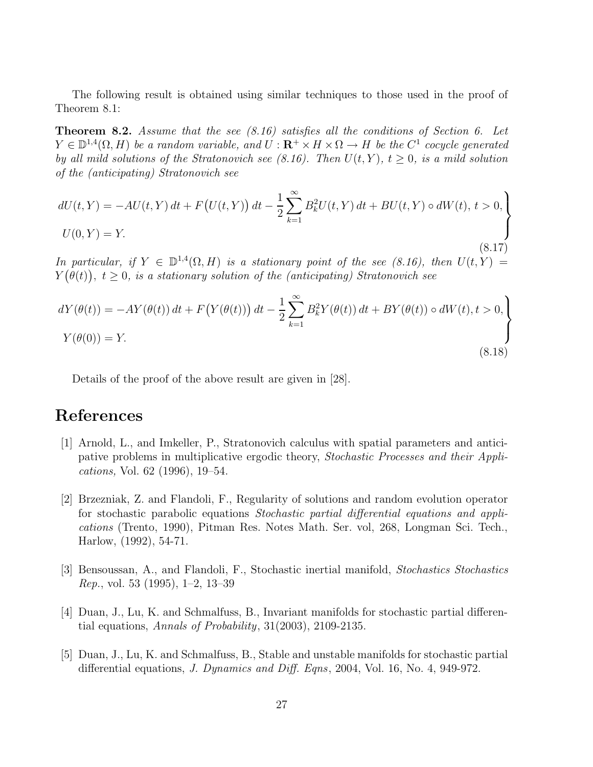The following result is obtained using similar techniques to those used in the proof of Theorem 8.1:

**Theorem 8.2.** Assume that the see  $(8.16)$  satisfies all the conditions of Section 6. Let  $Y \in \mathbb{D}^{1,4}(\Omega, H)$  be a random variable, and  $U : \mathbf{R}^+ \times H \times \Omega \to H$  be the  $C^1$  cocycle generated by all mild solutions of the Stratonovich see (8.16). Then  $U(t, Y)$ ,  $t \geq 0$ , is a mild solution of the (anticipating) Stratonovich see

$$
dU(t,Y) = -AU(t,Y) dt + F(U(t,Y)) dt - \frac{1}{2} \sum_{k=1}^{\infty} B_k^2 U(t,Y) dt + BU(t,Y) \circ dW(t), t > 0,
$$
  

$$
U(0,Y) = Y.
$$
 (8.17)

In particular, if  $Y \in \mathbb{D}^{1,4}(\Omega, H)$  is a stationary point of the see (8.16), then  $U(t, Y) =$  $Y(\theta(t)), t \geq 0$ , is a stationary solution of the (anticipating) Stratonovich see

$$
dY(\theta(t)) = -AY(\theta(t)) dt + F(Y(\theta(t))) dt - \frac{1}{2} \sum_{k=1}^{\infty} B_k^2 Y(\theta(t)) dt + BY(\theta(t)) \circ dW(t), t > 0,
$$
  
\n
$$
Y(\theta(0)) = Y.
$$
\n(8.18)

Details of the proof of the above result are given in [28].

### References

- [1] Arnold, L., and Imkeller, P., Stratonovich calculus with spatial parameters and anticipative problems in multiplicative ergodic theory, Stochastic Processes and their Applications, Vol. 62 (1996), 19–54.
- [2] Brzezniak, Z. and Flandoli, F., Regularity of solutions and random evolution operator for stochastic parabolic equations Stochastic partial differential equations and applications (Trento, 1990), Pitman Res. Notes Math. Ser. vol, 268, Longman Sci. Tech., Harlow, (1992), 54-71.
- [3] Bensoussan, A., and Flandoli, F., Stochastic inertial manifold, Stochastics Stochastics Rep., vol. 53 (1995), 1–2, 13–39
- [4] Duan, J., Lu, K. and Schmalfuss, B., Invariant manifolds for stochastic partial differential equations, Annals of Probability, 31(2003), 2109-2135.
- [5] Duan, J., Lu, K. and Schmalfuss, B., Stable and unstable manifolds for stochastic partial differential equations, J. Dynamics and Diff. Eqns, 2004, Vol. 16, No. 4, 949-972.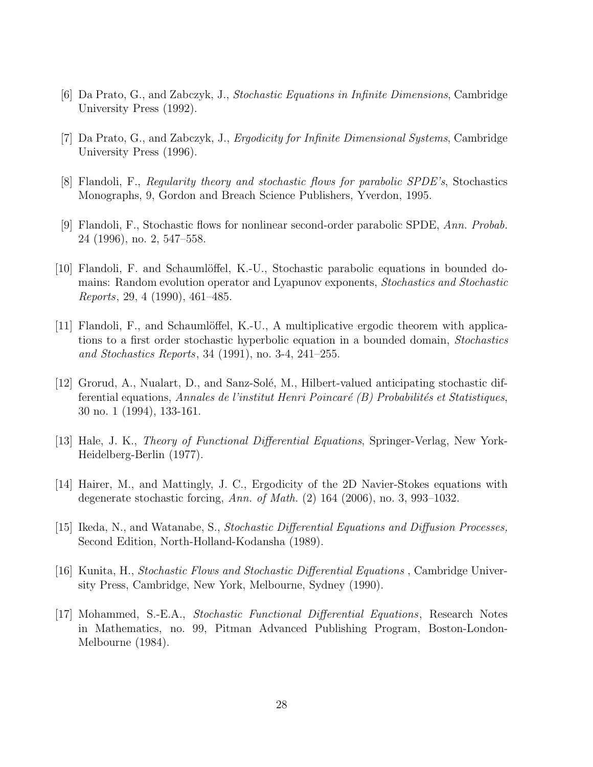- [6] Da Prato, G., and Zabczyk, J., Stochastic Equations in Infinite Dimensions, Cambridge University Press (1992).
- [7] Da Prato, G., and Zabczyk, J., Ergodicity for Infinite Dimensional Systems, Cambridge University Press (1996).
- [8] Flandoli, F., Regularity theory and stochastic flows for parabolic SPDE's, Stochastics Monographs, 9, Gordon and Breach Science Publishers, Yverdon, 1995.
- [9] Flandoli, F., Stochastic flows for nonlinear second-order parabolic SPDE, Ann. Probab. 24 (1996), no. 2, 547–558.
- [10] Flandoli, F. and Schaumlöffel, K.-U., Stochastic parabolic equations in bounded domains: Random evolution operator and Lyapunov exponents, Stochastics and Stochastic Reports, 29, 4 (1990), 461–485.
- [11] Flandoli, F., and Schaumlöffel, K.-U., A multiplicative ergodic theorem with applications to a first order stochastic hyperbolic equation in a bounded domain, Stochastics and Stochastics Reports, 34 (1991), no. 3-4, 241–255.
- [12] Grorud, A., Nualart, D., and Sanz-Solé, M., Hilbert-valued anticipating stochastic differential equations, Annales de l'institut Henri Poincaré (B) Probabilités et Statistiques, 30 no. 1 (1994), 133-161.
- [13] Hale, J. K., Theory of Functional Differential Equations, Springer-Verlag, New York-Heidelberg-Berlin (1977).
- [14] Hairer, M., and Mattingly, J. C., Ergodicity of the 2D Navier-Stokes equations with degenerate stochastic forcing,  $Ann. of Math. (2) 164 (2006)$ , no. 3, 993-1032.
- [15] Ikeda, N., and Watanabe, S., Stochastic Differential Equations and Diffusion Processes, Second Edition, North-Holland-Kodansha (1989).
- [16] Kunita, H., Stochastic Flows and Stochastic Differential Equations , Cambridge University Press, Cambridge, New York, Melbourne, Sydney (1990).
- [17] Mohammed, S.-E.A., Stochastic Functional Differential Equations, Research Notes in Mathematics, no. 99, Pitman Advanced Publishing Program, Boston-London-Melbourne (1984).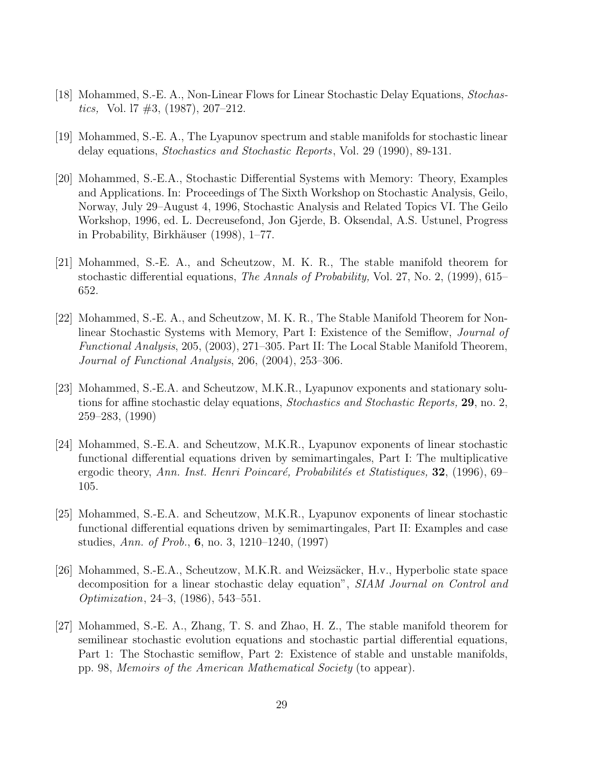- [18] Mohammed, S.-E. A., Non-Linear Flows for Linear Stochastic Delay Equations, Stochas*tics*, Vol. 17  $\#3$ , (1987), 207–212.
- [19] Mohammed, S.-E. A., The Lyapunov spectrum and stable manifolds for stochastic linear delay equations, Stochastics and Stochastic Reports, Vol. 29 (1990), 89-131.
- [20] Mohammed, S.-E.A., Stochastic Differential Systems with Memory: Theory, Examples and Applications. In: Proceedings of The Sixth Workshop on Stochastic Analysis, Geilo, Norway, July 29–August 4, 1996, Stochastic Analysis and Related Topics VI. The Geilo Workshop, 1996, ed. L. Decreusefond, Jon Gjerde, B. Oksendal, A.S. Ustunel, Progress in Probability, Birkhäuser  $(1998)$ , 1–77.
- [21] Mohammed, S.-E. A., and Scheutzow, M. K. R., The stable manifold theorem for stochastic differential equations, The Annals of Probability, Vol. 27, No. 2, (1999), 615– 652.
- [22] Mohammed, S.-E. A., and Scheutzow, M. K. R., The Stable Manifold Theorem for Nonlinear Stochastic Systems with Memory, Part I: Existence of the Semiflow, Journal of Functional Analysis, 205, (2003), 271–305. Part II: The Local Stable Manifold Theorem, Journal of Functional Analysis, 206, (2004), 253–306.
- [23] Mohammed, S.-E.A. and Scheutzow, M.K.R., Lyapunov exponents and stationary solutions for affine stochastic delay equations, Stochastics and Stochastic Reports, 29, no. 2, 259–283, (1990)
- [24] Mohammed, S.-E.A. and Scheutzow, M.K.R., Lyapunov exponents of linear stochastic functional differential equations driven by semimartingales, Part I: The multiplicative ergodic theory, Ann. Inst. Henri Poincaré, Probabilités et Statistiques,  $32$ , (1996), 69– 105.
- [25] Mohammed, S.-E.A. and Scheutzow, M.K.R., Lyapunov exponents of linear stochastic functional differential equations driven by semimartingales, Part II: Examples and case studies, Ann. of Prob., 6, no. 3, 1210–1240, (1997)
- [26] Mohammed, S.-E.A., Scheutzow, M.K.R. and Weizsäcker, H.v., Hyperbolic state space decomposition for a linear stochastic delay equation", SIAM Journal on Control and Optimization, 24–3, (1986), 543–551.
- [27] Mohammed, S.-E. A., Zhang, T. S. and Zhao, H. Z., The stable manifold theorem for semilinear stochastic evolution equations and stochastic partial differential equations, Part 1: The Stochastic semiflow, Part 2: Existence of stable and unstable manifolds, pp. 98, Memoirs of the American Mathematical Society (to appear).